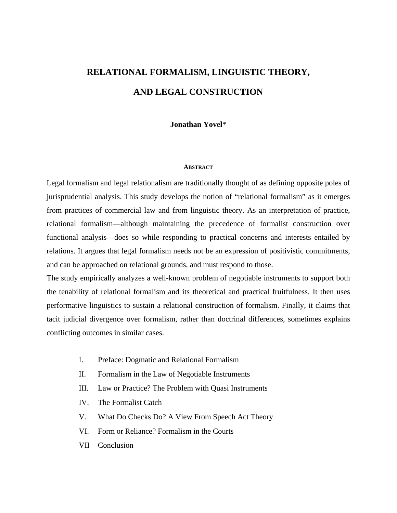# **RELATIONAL FORMALISM, LINGUISTIC THEORY, AND LEGAL CONSTRUCTION**

**Jonathan Yovel**\*

#### **ABSTRACT**

Legal formalism and legal relationalism are traditionally thought of as defining opposite poles of jurisprudential analysis. This study develops the notion of "relational formalism" as it emerges from practices of commercial law and from linguistic theory. As an interpretation of practice, relational formalism—although maintaining the precedence of formalist construction over functional analysis—does so while responding to practical concerns and interests entailed by relations. It argues that legal formalism needs not be an expression of positivistic commitments, and can be approached on relational grounds, and must respond to those.

The study empirically analyzes a well-known problem of negotiable instruments to support both the tenability of relational formalism and its theoretical and practical fruitfulness. It then uses performative linguistics to sustain a relational construction of formalism. Finally, it claims that tacit judicial divergence over formalism, rather than doctrinal differences, sometimes explains conflicting outcomes in similar cases.

- I. Preface: Dogmatic and Relational Formalism
- II. Formalism in the Law of Negotiable Instruments
- III. Law or Practice? The Problem with Quasi Instruments
- IV. The Formalist Catch
- V. What Do Checks Do? A View From Speech Act Theory
- VI. Form or Reliance? Formalism in the Courts
- VII Conclusion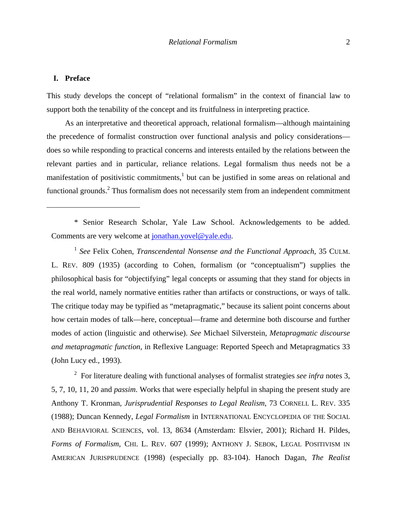#### **I. Preface**

1

This study develops the concept of "relational formalism" in the context of financial law to support both the tenability of the concept and its fruitfulness in interpreting practice.

As an interpretative and theoretical approach, relational formalism—although maintaining the precedence of formalist construction over functional analysis and policy considerations does so while responding to practical concerns and interests entailed by the relations between the relevant parties and in particular, reliance relations. Legal formalism thus needs not be a manifestation of positivistic commitments,<sup>1</sup> but can be justified in some areas on relational and functional grounds.<sup>2</sup> Thus formalism does not necessarily stem from an independent commitment

\* Senior Research Scholar, Yale Law School. Acknowledgements to be added. Comments are very welcome at jonathan.yovel@yale.edu.

<sup>1</sup> *See* Felix Cohen, *Transcendental Nonsense and the Functional Approach*, 35 CULM. L. REV. 809 (1935) (according to Cohen, formalism (or "conceptualism") supplies the philosophical basis for "objectifying" legal concepts or assuming that they stand for objects in the real world, namely normative entities rather than artifacts or constructions, or ways of talk. The critique today may be typified as "metapragmatic," because its salient point concerns about how certain modes of talk—here, conceptual—frame and determine both discourse and further modes of action (linguistic and otherwise). *See* Michael Silverstein, *Metapragmatic discourse and metapragmatic function*, in Reflexive Language: Reported Speech and Metapragmatics 33 (John Lucy ed., 1993).

2 For literature dealing with functional analyses of formalist strategies *see infra* notes 3, 5, 7, 10, 11, 20 and *passim*. Works that were especially helpful in shaping the present study are Anthony T. Kronman, *Jurisprudential Responses to Legal Realism*, 73 CORNELL L. REV. 335 (1988); Duncan Kennedy, *Legal Formalism* in INTERNATIONAL ENCYCLOPEDIA OF THE SOCIAL AND BEHAVIORAL SCIENCES, vol. 13, 8634 (Amsterdam: Elsvier, 2001); Richard H. Pildes, *Forms of Formalism*, CHI. L. REV. 607 (1999); ANTHONY J. SEBOK, LEGAL POSITIVISM IN AMERICAN JURISPRUDENCE (1998) (especially pp. 83-104). Hanoch Dagan, *The Realist*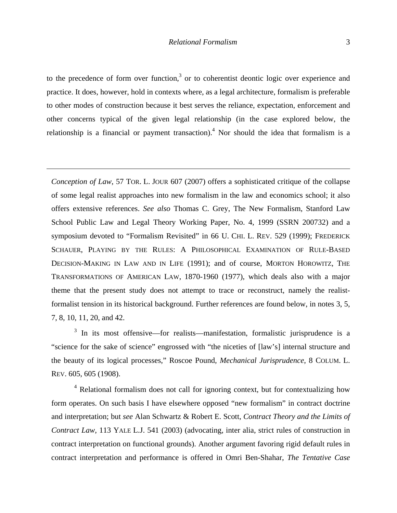to the precedence of form over function,<sup>3</sup> or to coherentist deontic logic over experience and practice. It does, however, hold in contexts where, as a legal architecture, formalism is preferable to other modes of construction because it best serves the reliance, expectation, enforcement and other concerns typical of the given legal relationship (in the case explored below, the relationship is a financial or payment transaction). <sup>A</sup> Nor should the idea that formalism is a

 $\overline{a}$ 

*Conception of Law*, 57 TOR. L. JOUR 607 (2007) offers a sophisticated critique of the collapse of some legal realist approaches into new formalism in the law and economics school; it also offers extensive references. *See also* Thomas C. Grey, The New Formalism, Stanford Law School Public Law and Legal Theory Working Paper, No. 4, 1999 (SSRN 200732) and a symposium devoted to "Formalism Revisited" in 66 U. CHI. L. REV. 529 (1999); FREDERICK SCHAUER, PLAYING BY THE RULES: A PHILOSOPHICAL EXAMINATION OF RULE-BASED DECISION-MAKING IN LAW AND IN LIFE (1991); and of course, MORTON HOROWITZ, THE TRANSFORMATIONS OF AMERICAN LAW, 1870-1960 (1977), which deals also with a major theme that the present study does not attempt to trace or reconstruct, namely the realistformalist tension in its historical background. Further references are found below, in notes 3, 5, 7, 8, 10, 11, 20, and 42.

<sup>3</sup> In its most offensive—for realists—manifestation, formalistic jurisprudence is a "science for the sake of science" engrossed with "the niceties of [law's] internal structure and the beauty of its logical processes," Roscoe Pound*, Mechanical Jurisprudence*, 8 COLUM. L. REV. 605, 605 (1908).

<sup>4</sup> Relational formalism does not call for ignoring context, but for contextualizing how form operates. On such basis I have elsewhere opposed "new formalism" in contract doctrine and interpretation; but *see* Alan Schwartz & Robert E. Scott, *Contract Theory and the Limits of Contract Law*, 113 YALE L.J. 541 (2003) (advocating, inter alia, strict rules of construction in contract interpretation on functional grounds). Another argument favoring rigid default rules in contract interpretation and performance is offered in Omri Ben-Shahar, *The Tentative Case*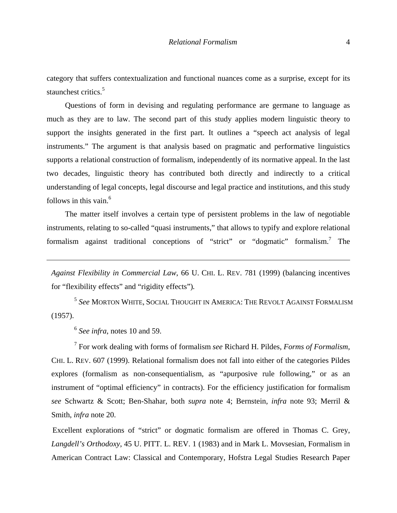category that suffers contextualization and functional nuances come as a surprise, except for its staunchest critics.<sup>5</sup>

Questions of form in devising and regulating performance are germane to language as much as they are to law. The second part of this study applies modern linguistic theory to support the insights generated in the first part. It outlines a "speech act analysis of legal instruments." The argument is that analysis based on pragmatic and performative linguistics supports a relational construction of formalism, independently of its normative appeal. In the last two decades, linguistic theory has contributed both directly and indirectly to a critical understanding of legal concepts, legal discourse and legal practice and institutions, and this study follows in this vain.<sup>6</sup>

The matter itself involves a certain type of persistent problems in the law of negotiable instruments, relating to so-called "quasi instruments," that allows to typify and explore relational formalism against traditional conceptions of "strict" or "dogmatic" formalism.<sup>7</sup> The

*Against Flexibility in Commercial Law*, 66 U. CHI. L. REV. 781 (1999) (balancing incentives for "flexibility effects" and "rigidity effects")*.*

<sup>5</sup> *See* MORTON WHITE, SOCIAL THOUGHT IN AMERICA: THE REVOLT AGAINST FORMALISM (1957).

<sup>6</sup> *See infra*, notes 10 and 59.

1

7 For work dealing with forms of formalism *see* Richard H. Pildes, *Forms of Formalism*, CHI. L. REV. 607 (1999). Relational formalism does not fall into either of the categories Pildes explores (formalism as non-consequentialism, as "apurposive rule following," or as an instrument of "optimal efficiency" in contracts). For the efficiency justification for formalism *see* Schwartz & Scott; Ben-Shahar, both *supra* note 4; Bernstein, *infra* note 93; Merril & Smith, *infra* note 20.

Excellent explorations of "strict" or dogmatic formalism are offered in Thomas C. Grey, *Langdell's Orthodoxy*, 45 U. PITT. L. REV. 1 (1983) and in Mark L. Movsesian, Formalism in American Contract Law: Classical and Contemporary, Hofstra Legal Studies Research Paper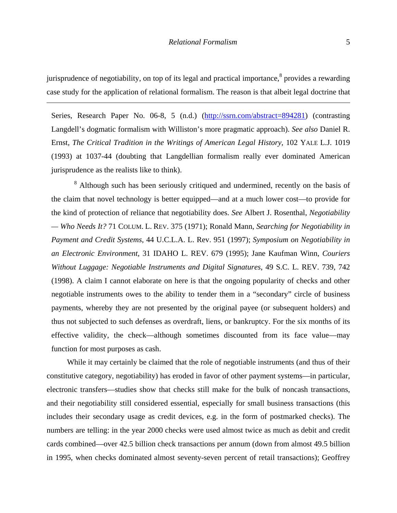jurisprudence of negotiability, on top of its legal and practical importance, ${}^{8}$  provides a rewarding case study for the application of relational formalism. The reason is that albeit legal doctrine that

 $\overline{a}$ 

Series, Research Paper No. 06-8, 5 (n.d.) (http://ssrn.com/abstract=894281) (contrasting Langdell's dogmatic formalism with Williston's more pragmatic approach). *See also* Daniel R. Ernst, *The Critical Tradition in the Writings of American Legal History*, 102 YALE L.J. 1019 (1993) at 1037-44 (doubting that Langdellian formalism really ever dominated American jurisprudence as the realists like to think).

<sup>8</sup> Although such has been seriously critiqued and undermined, recently on the basis of the claim that novel technology is better equipped—and at a much lower cost—to provide for the kind of protection of reliance that negotiability does. *See* Albert J. Rosenthal, *Negotiability — Who Needs It?* 71 COLUM. L. REV. 375 (1971); Ronald Mann, *Searching for Negotiability in Payment and Credit Systems*, 44 U.C.L.A. L. Rev. 951 (1997); *Symposium on Negotiability in an Electronic Environment*, 31 IDAHO L. REV. 679 (1995); Jane Kaufman Winn, *Couriers Without Luggage: Negotiable Instruments and Digital Signatures*, 49 S.C. L. REV. 739, 742 (1998). A claim I cannot elaborate on here is that the ongoing popularity of checks and other negotiable instruments owes to the ability to tender them in a "secondary" circle of business payments, whereby they are not presented by the original payee (or subsequent holders) and thus not subjected to such defenses as overdraft, liens, or bankruptcy. For the six months of its effective validity, the check—although sometimes discounted from its face value—may function for most purposes as cash.

 While it may certainly be claimed that the role of negotiable instruments (and thus of their constitutive category, negotiability) has eroded in favor of other payment systems—in particular, electronic transfers—studies show that checks still make for the bulk of noncash transactions, and their negotiability still considered essential, especially for small business transactions (this includes their secondary usage as credit devices, e.g. in the form of postmarked checks). The numbers are telling: in the year 2000 checks were used almost twice as much as debit and credit cards combined—over 42.5 billion check transactions per annum (down from almost 49.5 billion in 1995, when checks dominated almost seventy-seven percent of retail transactions); Geoffrey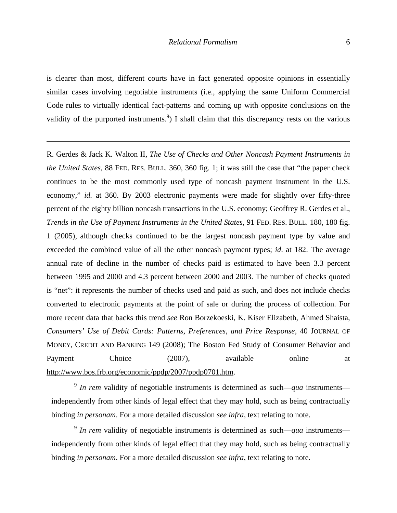#### *Relational Formalism* 6

is clearer than most, different courts have in fact generated opposite opinions in essentially similar cases involving negotiable instruments (i.e., applying the same Uniform Commercial Code rules to virtually identical fact-patterns and coming up with opposite conclusions on the validity of the purported instruments.<sup>9</sup>) I shall claim that this discrepancy rests on the various

 $\overline{a}$ 

R. Gerdes & Jack K. Walton II, *The Use of Checks and Other Noncash Payment Instruments in the United States*, 88 FED. RES. BULL. 360, 360 fig. 1; it was still the case that "the paper check continues to be the most commonly used type of noncash payment instrument in the U.S. economy," *id.* at 360. By 2003 electronic payments were made for slightly over fifty-three percent of the eighty billion noncash transactions in the U.S. economy; Geoffrey R. Gerdes et al., *Trends in the Use of Payment Instruments in the United States*, 91 FED. RES. BULL. 180, 180 fig. 1 (2005), although checks continued to be the largest noncash payment type by value and exceeded the combined value of all the other noncash payment types; *id*. at 182. The average annual rate of decline in the number of checks paid is estimated to have been 3.3 percent between 1995 and 2000 and 4.3 percent between 2000 and 2003. The number of checks quoted is "net": it represents the number of checks used and paid as such, and does not include checks converted to electronic payments at the point of sale or during the process of collection. For more recent data that backs this trend *see* Ron Borzekoeski, K. Kiser Elizabeth, Ahmed Shaista, *Consumers' Use of Debit Cards: Patterns, Preferences, and Price Response,* 40 JOURNAL OF MONEY, CREDIT AND BANKING 149 (2008); The Boston Fed Study of Consumer Behavior and Payment Choice (2007), available online at http://www.bos.frb.org/economic/ppdp/2007/ppdp0701.htm.

<sup>9</sup> *In rem* validity of negotiable instruments is determined as such—*qua* instruments independently from other kinds of legal effect that they may hold, such as being contractually binding *in personam*. For a more detailed discussion *see infra*, text relating to note.

<sup>9</sup> *In rem* validity of negotiable instruments is determined as such—*qua* instruments independently from other kinds of legal effect that they may hold, such as being contractually binding *in personam*. For a more detailed discussion *see infra*, text relating to note.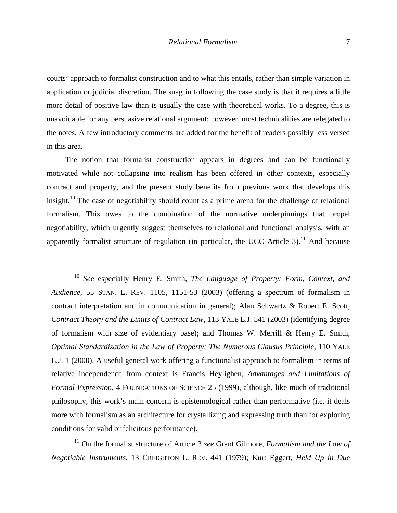courts' approach to formalist construction and to what this entails, rather than simple variation in application or judicial discretion. The snag in following the case study is that it requires a little more detail of positive law than is usually the case with theoretical works. To a degree, this is unavoidable for any persuasive relational argument; however, most technicalities are relegated to the notes. A few introductory comments are added for the benefit of readers possibly less versed in this area.

The notion that formalist construction appears in degrees and can be functionally motivated while not collapsing into realism has been offered in other contexts, especially contract and property, and the present study benefits from previous work that develops this insight.<sup>10</sup> The case of negotiability should count as a prime arena for the challenge of relational formalism. This owes to the combination of the normative underpinnings that propel negotiability, which urgently suggest themselves to relational and functional analysis, with an apparently formalist structure of regulation (in particular, the UCC Article 3).<sup>11</sup> And because

 $\overline{a}$ 

<sup>10</sup> *See* especially Henry E. Smith, *The Language of Property: Form, Context, and Audience*, 55 STAN. L. REV. 1105, 1151-53 (2003) (offering a spectrum of formalism in contract interpretation and in communication in general); Alan Schwartz & Robert E. Scott, *Contract Theory and the Limits of Contract Law*, 113 YALE L.J. 541 (2003) (identifying degree of formalism with size of evidentiary base); and Thomas W. Merrill & Henry E. Smith, *Optimal Standardization in the Law of Property: The Numerous Clausus Principle*, 110 YALE L.J. 1 (2000). A useful general work offering a functionalist approach to formalism in terms of relative independence from context is Francis Heylighen, *Advantages and Limitations of Formal Expression*, 4 FOUNDATIONS OF SCIENCE 25 (1999), although, like much of traditional philosophy, this work's main concern is epistemological rather than performative (i.e. it deals more with formalism as an architecture for crystallizing and expressing truth than for exploring conditions for valid or felicitous performance).

11 On the formalist structure of Article 3 *see* Grant Gilmore, *Formalism and the Law of Negotiable Instruments*, 13 CREIGHTON L. REV. 441 (1979); Kurt Eggert, *Held Up in Due*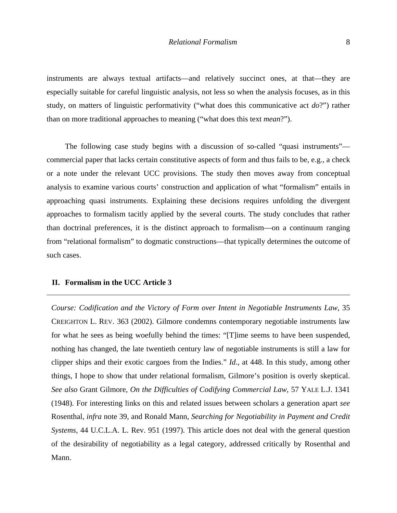#### *Relational Formalism* 8

instruments are always textual artifacts—and relatively succinct ones, at that—they are especially suitable for careful linguistic analysis, not less so when the analysis focuses, as in this study, on matters of linguistic performativity ("what does this communicative act *do*?") rather than on more traditional approaches to meaning ("what does this text *mean*?").

The following case study begins with a discussion of so-called "quasi instruments" commercial paper that lacks certain constitutive aspects of form and thus fails to be, e.g., a check or a note under the relevant UCC provisions. The study then moves away from conceptual analysis to examine various courts' construction and application of what "formalism" entails in approaching quasi instruments. Explaining these decisions requires unfolding the divergent approaches to formalism tacitly applied by the several courts. The study concludes that rather than doctrinal preferences, it is the distinct approach to formalism—on a continuum ranging from "relational formalism" to dogmatic constructions—that typically determines the outcome of such cases.

#### **II. Formalism in the UCC Article 3**

1

*Course: Codification and the Victory of Form over Intent in Negotiable Instruments Law*, 35 CREIGHTON L. REV. 363 (2002). Gilmore condemns contemporary negotiable instruments law for what he sees as being woefully behind the times: "[T]ime seems to have been suspended, nothing has changed, the late twentieth century law of negotiable instruments is still a law for clipper ships and their exotic cargoes from the Indies." *Id*., at 448. In this study, among other things, I hope to show that under relational formalism, Gilmore's position is overly skeptical. *See also* Grant Gilmore, *On the Difficulties of Codifying Commercial Law*, 57 YALE L.J. 1341 (1948). For interesting links on this and related issues between scholars a generation apart *see*  Rosenthal, *infra* note 39, and Ronald Mann, *Searching for Negotiability in Payment and Credit Systems*, 44 U.C.L.A. L. Rev. 951 (1997). This article does not deal with the general question of the desirability of negotiability as a legal category, addressed critically by Rosenthal and Mann.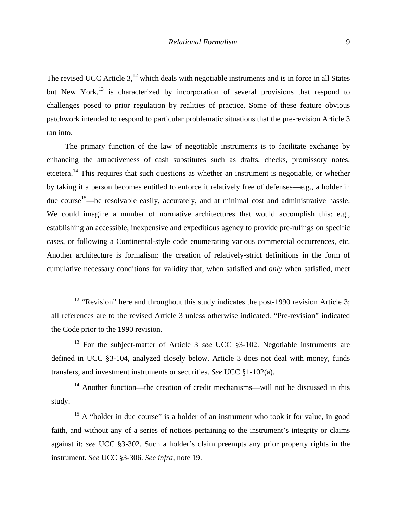The revised UCC Article  $3$ ,<sup>12</sup> which deals with negotiable instruments and is in force in all States but New York,<sup>13</sup> is characterized by incorporation of several provisions that respond to challenges posed to prior regulation by realities of practice. Some of these feature obvious patchwork intended to respond to particular problematic situations that the pre-revision Article 3 ran into.

The primary function of the law of negotiable instruments is to facilitate exchange by enhancing the attractiveness of cash substitutes such as drafts, checks, promissory notes, etcetera.14 This requires that such questions as whether an instrument is negotiable, or whether by taking it a person becomes entitled to enforce it relatively free of defenses—e.g., a holder in due course<sup>15</sup>—be resolvable easily, accurately, and at minimal cost and administrative hassle. We could imagine a number of normative architectures that would accomplish this: e.g., establishing an accessible, inexpensive and expeditious agency to provide pre-rulings on specific cases, or following a Continental-style code enumerating various commercial occurrences, etc. Another architecture is formalism: the creation of relatively-strict definitions in the form of cumulative necessary conditions for validity that, when satisfied and *only* when satisfied, meet

1

<sup>&</sup>lt;sup>12</sup> "Revision" here and throughout this study indicates the post-1990 revision Article 3; all references are to the revised Article 3 unless otherwise indicated. "Pre-revision" indicated the Code prior to the 1990 revision.

<sup>13</sup> For the subject-matter of Article 3 *see* UCC §3-102. Negotiable instruments are defined in UCC §3-104, analyzed closely below. Article 3 does not deal with money, funds transfers, and investment instruments or securities. *See* UCC §1-102(a).

<sup>&</sup>lt;sup>14</sup> Another function—the creation of credit mechanisms—will not be discussed in this study.

 $15$  A "holder in due course" is a holder of an instrument who took it for value, in good faith, and without any of a series of notices pertaining to the instrument's integrity or claims against it; *see* UCC §3-302. Such a holder's claim preempts any prior property rights in the instrument. *See* UCC §3-306. *See infra*, note 19.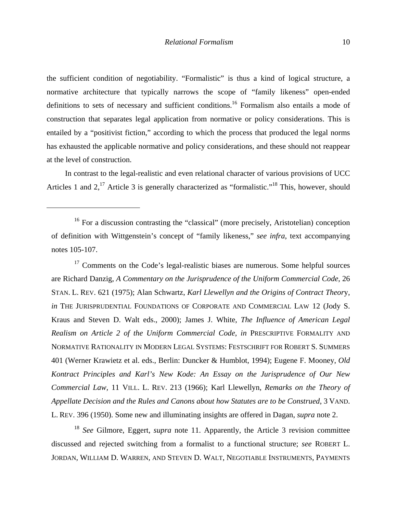the sufficient condition of negotiability. "Formalistic" is thus a kind of logical structure, a normative architecture that typically narrows the scope of "family likeness" open-ended definitions to sets of necessary and sufficient conditions.<sup>16</sup> Formalism also entails a mode of construction that separates legal application from normative or policy considerations. This is entailed by a "positivist fiction," according to which the process that produced the legal norms has exhausted the applicable normative and policy considerations, and these should not reappear at the level of construction.

In contrast to the legal-realistic and even relational character of various provisions of UCC Articles 1 and  $2<sup>17</sup>$  Article 3 is generally characterized as "formalistic."<sup>18</sup> This, however, should

 $\overline{a}$ 

<sup>16</sup> For a discussion contrasting the "classical" (more precisely, Aristotelian) conception of definition with Wittgenstein's concept of "family likeness," *see infra*, text accompanying notes 105-107.

<sup>17</sup> Comments on the Code's legal-realistic biases are numerous. Some helpful sources are Richard Danzig, *A Commentary on the Jurisprudence of the Uniform Commercial Code*, 26 STAN. L. REV. 621 (1975); Alan Schwartz, *Karl Llewellyn and the Origins of Contract Theor*y, *in* THE JURISPRUDENTIAL FOUNDATIONS OF CORPORATE AND COMMERCIAL LAW 12 (Jody S. Kraus and Steven D. Walt eds., 2000); James J. White, *The Influence of American Legal Realism on Article 2 of the Uniform Commercial Code*, *in* PRESCRIPTIVE FORMALITY AND NORMATIVE RATIONALITY IN MODERN LEGAL SYSTEMS: FESTSCHRIFT FOR ROBERT S. SUMMERS 401 (Werner Krawietz et al. eds., Berlin: Duncker & Humblot, 1994); Eugene F. Mooney, *Old Kontract Principles and Karl's New Kode: An Essay on the Jurisprudence of Our New Commercial Law,* 11 VILL. L. REV. 213 (1966); Karl Llewellyn, *Remarks on the Theory of Appellate Decision and the Rules and Canons about how Statutes are to be Construed*, 3 VAND. L. REV. 396 (1950). Some new and illuminating insights are offered in Dagan, *supra* note 2.

<sup>18</sup> *See* Gilmore, Eggert, *supra* note 11. Apparently, the Article 3 revision committee discussed and rejected switching from a formalist to a functional structure; *see* ROBERT L. JORDAN, WILLIAM D. WARREN, AND STEVEN D. WALT, NEGOTIABLE INSTRUMENTS, PAYMENTS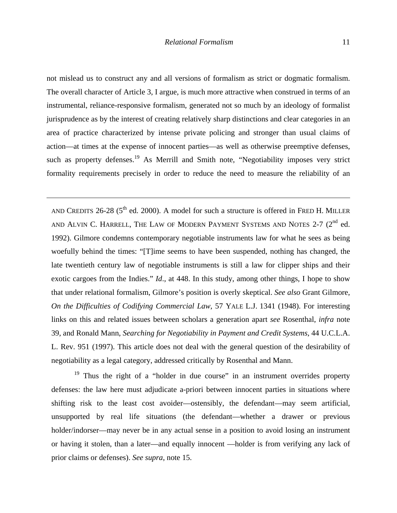not mislead us to construct any and all versions of formalism as strict or dogmatic formalism. The overall character of Article 3, I argue, is much more attractive when construed in terms of an instrumental, reliance-responsive formalism, generated not so much by an ideology of formalist jurisprudence as by the interest of creating relatively sharp distinctions and clear categories in an area of practice characterized by intense private policing and stronger than usual claims of action—at times at the expense of innocent parties—as well as otherwise preemptive defenses, such as property defenses.<sup>19</sup> As Merrill and Smith note, "Negotiability imposes very strict formality requirements precisely in order to reduce the need to measure the reliability of an

 $\overline{a}$ 

AND CREDITS 26-28 ( $5<sup>th</sup>$  ed. 2000). A model for such a structure is offered in FRED H. MILLER AND ALVIN C. HARRELL, THE LAW OF MODERN PAYMENT SYSTEMS AND NOTES  $2-7$   $(2^{nd}$  ed. 1992). Gilmore condemns contemporary negotiable instruments law for what he sees as being woefully behind the times: "[T]ime seems to have been suspended, nothing has changed, the late twentieth century law of negotiable instruments is still a law for clipper ships and their exotic cargoes from the Indies." *Id*., at 448. In this study, among other things, I hope to show that under relational formalism, Gilmore's position is overly skeptical. *See also* Grant Gilmore, *On the Difficulties of Codifying Commercial Law*, 57 YALE L.J. 1341 (1948). For interesting links on this and related issues between scholars a generation apart *see* Rosenthal, *infra* note 39, and Ronald Mann, *Searching for Negotiability in Payment and Credit Systems*, 44 U.C.L.A. L. Rev. 951 (1997). This article does not deal with the general question of the desirability of negotiability as a legal category, addressed critically by Rosenthal and Mann.

 $19$  Thus the right of a "holder in due course" in an instrument overrides property defenses: the law here must adjudicate a-priori between innocent parties in situations where shifting risk to the least cost avoider—ostensibly, the defendant—may seem artificial, unsupported by real life situations (the defendant—whether a drawer or previous holder/indorser—may never be in any actual sense in a position to avoid losing an instrument or having it stolen, than a later—and equally innocent —holder is from verifying any lack of prior claims or defenses). *See supra*, note 15.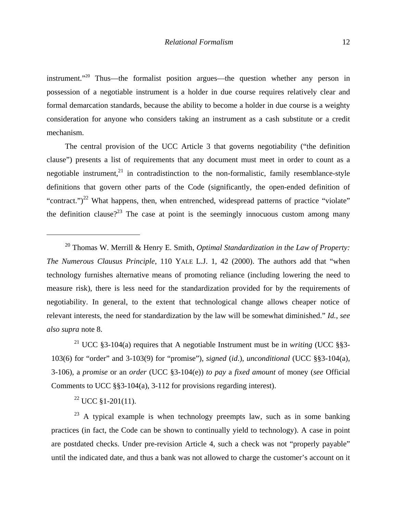instrument."20 Thus—the formalist position argues—the question whether any person in possession of a negotiable instrument is a holder in due course requires relatively clear and formal demarcation standards, because the ability to become a holder in due course is a weighty consideration for anyone who considers taking an instrument as a cash substitute or a credit mechanism.

The central provision of the UCC Article 3 that governs negotiability ("the definition clause") presents a list of requirements that any document must meet in order to count as a negotiable instrument, $^{21}$  in contradistinction to the non-formalistic, family resemblance-style definitions that govern other parts of the Code (significantly, the open-ended definition of "contract.")<sup>22</sup> What happens, then, when entrenched, widespread patterns of practice "violate" the definition clause?<sup>23</sup> The case at point is the seemingly innocuous custom among many

21 UCC §3-104(a) requires that A negotiable Instrument must be in *writing* (UCC §§3- 103(6) for "order" and 3-103(9) for "promise"), *signed* (*id*.), *unconditional* (UCC §§3-104(a), 3-106), a *promise* or an *order* (UCC §3-104(e)) *to pay* a *fixed amount* of money (*see* Official Comments to UCC §§3-104(a), 3-112 for provisions regarding interest).

 $22$  UCC  $$1-201(11)$ .

 $\overline{a}$ 

 $23$  A typical example is when technology preempts law, such as in some banking practices (in fact, the Code can be shown to continually yield to technology). A case in point are postdated checks. Under pre-revision Article 4, such a check was not "properly payable" until the indicated date, and thus a bank was not allowed to charge the customer's account on it

<sup>20</sup> Thomas W. Merrill & Henry E. Smith, *Optimal Standardization in the Law of Property: The Numerous Clausus Principle*, 110 YALE L.J. 1, 42 (2000). The authors add that "when technology furnishes alternative means of promoting reliance (including lowering the need to measure risk), there is less need for the standardization provided for by the requirements of negotiability. In general, to the extent that technological change allows cheaper notice of relevant interests, the need for standardization by the law will be somewhat diminished." *Id.*, *see also supra* note 8.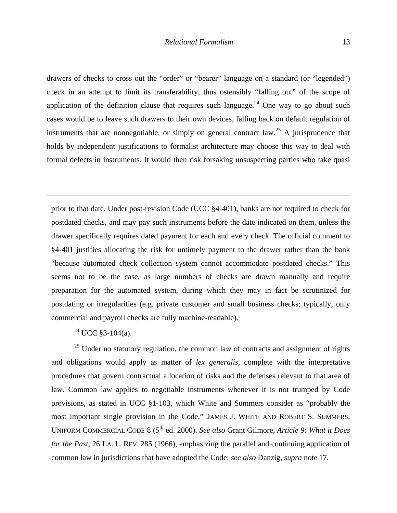drawers of checks to cross out the "order" or "bearer" language on a standard (or "legended") check in an attempt to limit its transferability, thus ostensibly "falling out" of the scope of application of the definition clause that requires such language.<sup>24</sup> One way to go about such cases would be to leave such drawers to their own devices, falling back on default regulation of instruments that are nonnegotiable, or simply on general contract  $law<sup>25</sup>$ . A jurisprudence that holds by independent justifications to formalist architecture may choose this way to deal with formal defects in instruments. It would then risk forsaking unsuspecting parties who take quasi

prior to that date. Under post-revision Code (UCC §4-401), banks are not required to check for postdated checks, and may pay such instruments before the date indicated on them, unless the drawer specifically requires dated payment for each and every check. The official comment to §4-401 justifies allocating the risk for untimely payment to the drawer rather than the bank "because automated check collection system cannot accommodate postdated checks." This seems not to be the case, as large numbers of checks are drawn manually and require preparation for the automated system, during which they may in fact be scrutinized for postdating or irregularities (e.g. private customer and small business checks; typically, only commercial and payroll checks are fully machine-readable).

## $^{24}$  UCC §3-104(a).

 $\overline{a}$ 

 $25$  Under no statutory regulation, the common law of contracts and assignment of rights and obligations would apply as matter of *lex generalis*, complete with the interpretative procedures that govern contractual allocation of risks and the defenses relevant to that area of law. Common law applies to negotiable instruments whenever it is not trumped by Code provisions, as stated in UCC §1-103, which White and Summers consider as "probably the most important single provision in the Code," JAMES J. WHITE AND ROBERT S. SUMMERS, UNIFORM COMMERCIAL CODE 8 (5<sup>th</sup> ed. 2000). *See also* Grant Gilmore, *Article 9: What it Does for the Past*, 26 LA. L. REV. 285 (1966), emphasizing the parallel and continuing application of common law in jurisdictions that have adopted the Code; *see also* Danzig, *supra* note 17.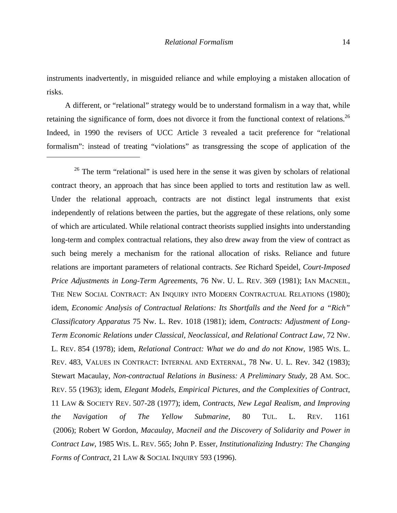instruments inadvertently, in misguided reliance and while employing a mistaken allocation of risks.

A different, or "relational" strategy would be to understand formalism in a way that, while retaining the significance of form, does not divorce it from the functional context of relations.<sup>26</sup> Indeed, in 1990 the revisers of UCC Article 3 revealed a tacit preference for "relational formalism": instead of treating "violations" as transgressing the scope of application of the

1

 $26$  The term "relational" is used here in the sense it was given by scholars of relational contract theory, an approach that has since been applied to torts and restitution law as well. Under the relational approach, contracts are not distinct legal instruments that exist independently of relations between the parties, but the aggregate of these relations, only some of which are articulated. While relational contract theorists supplied insights into understanding long-term and complex contractual relations, they also drew away from the view of contract as such being merely a mechanism for the rational allocation of risks. Reliance and future relations are important parameters of relational contracts. *See* Richard Speidel, *Court-Imposed Price Adjustments in Long-Term Agreements*, 76 NW. U. L. REV. 369 (1981); IAN MACNEIL, THE NEW SOCIAL CONTRACT: AN INQUIRY INTO MODERN CONTRACTUAL RELATIONS (1980); idem, *Economic Analysis of Contractual Relations: Its Shortfalls and the Need for a "Rich" Classificatory Apparatus* 75 Nw. L. Rev. 1018 (1981); idem, *Contracts: Adjustment of Long-Term Economic Relations under Classical, Neoclassical, and Relational Contract Law*, 72 NW. L. REV. 854 (1978); idem, *Relational Contract: What we do and do not Know*, 1985 WIS. L. REV. 483, VALUES IN CONTRACT: INTERNAL AND EXTERNAL, 78 Nw. U. L. Rev. 342 (1983); Stewart Macaulay, *Non-contractual Relations in Business: A Preliminary Study,* 28 AM. SOC. REV. 55 (1963); idem, *Elegant Models, Empirical Pictures, and the Complexities of Contract*, 11 LAW & SOCIETY REV. 507-28 (1977); idem, *Contracts, New Legal Realism, and Improving the Navigation of The Yellow Submarine*, 80 TUL. L. REV. 1161 (2006); Robert W Gordon, *Macaulay, Macneil and the Discovery of Solidarity and Power in Contract Law*, 1985 WIS. L. REV. 565; John P. Esser, *Institutionalizing Industry: The Changing Forms of Contract*, 21 LAW & SOCIAL INQUIRY 593 (1996).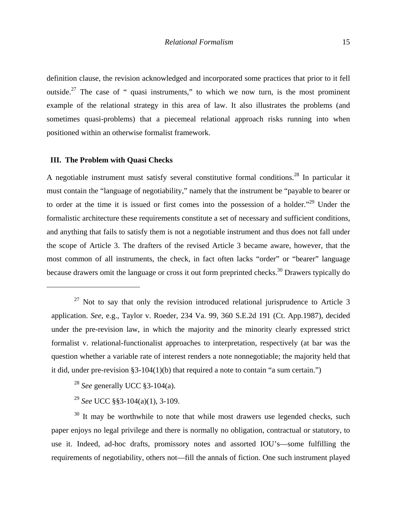definition clause, the revision acknowledged and incorporated some practices that prior to it fell outside.<sup>27</sup> The case of " quasi instruments," to which we now turn, is the most prominent example of the relational strategy in this area of law. It also illustrates the problems (and sometimes quasi-problems) that a piecemeal relational approach risks running into when positioned within an otherwise formalist framework.

#### **III. The Problem with Quasi Checks**

 $\overline{a}$ 

A negotiable instrument must satisfy several constitutive formal conditions.<sup>28</sup> In particular it must contain the "language of negotiability," namely that the instrument be "payable to bearer or to order at the time it is issued or first comes into the possession of a holder."<sup>29</sup> Under the formalistic architecture these requirements constitute a set of necessary and sufficient conditions, and anything that fails to satisfy them is not a negotiable instrument and thus does not fall under the scope of Article 3. The drafters of the revised Article 3 became aware, however, that the most common of all instruments, the check, in fact often lacks "order" or "bearer" language because drawers omit the language or cross it out form preprinted checks.<sup>30</sup> Drawers typically do

<sup>29</sup> *See* UCC §§3-104(a)(1), 3-109.

 $30$  It may be worthwhile to note that while most drawers use legended checks, such paper enjoys no legal privilege and there is normally no obligation, contractual or statutory, to use it. Indeed, ad-hoc drafts, promissory notes and assorted IOU's—some fulfilling the requirements of negotiability, others not—fill the annals of fiction. One such instrument played

 $27$  Not to say that only the revision introduced relational jurisprudence to Article 3 application. *See*, e.g., Taylor v. Roeder, 234 Va. 99, 360 S.E.2d 191 (Ct. App.1987), decided under the pre-revision law, in which the majority and the minority clearly expressed strict formalist v. relational-functionalist approaches to interpretation, respectively (at bar was the question whether a variable rate of interest renders a note nonnegotiable; the majority held that it did, under pre-revision §3-104(1)(b) that required a note to contain "a sum certain.")

<sup>28</sup> *See* generally UCC §3-104(a).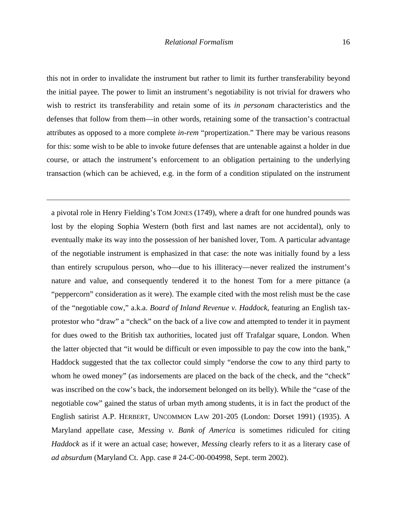this not in order to invalidate the instrument but rather to limit its further transferability beyond the initial payee. The power to limit an instrument's negotiability is not trivial for drawers who wish to restrict its transferability and retain some of its *in personam* characteristics and the defenses that follow from them—in other words, retaining some of the transaction's contractual attributes as opposed to a more complete *in-rem* "propertization." There may be various reasons for this: some wish to be able to invoke future defenses that are untenable against a holder in due course, or attach the instrument's enforcement to an obligation pertaining to the underlying transaction (which can be achieved, e.g. in the form of a condition stipulated on the instrument

1

a pivotal role in Henry Fielding's TOM JONES (1749), where a draft for one hundred pounds was lost by the eloping Sophia Western (both first and last names are not accidental), only to eventually make its way into the possession of her banished lover, Tom. A particular advantage of the negotiable instrument is emphasized in that case: the note was initially found by a less than entirely scrupulous person, who—due to his illiteracy—never realized the instrument's nature and value, and consequently tendered it to the honest Tom for a mere pittance (a "peppercorn" consideration as it were). The example cited with the most relish must be the case of the "negotiable cow," a.k.a. *Board of Inland Revenue v. Haddock*, featuring an English taxprotestor who "draw" a "check" on the back of a live cow and attempted to tender it in payment for dues owed to the British tax authorities, located just off Trafalgar square, London. When the latter objected that "it would be difficult or even impossible to pay the cow into the bank," Haddock suggested that the tax collector could simply "endorse the cow to any third party to whom he owed money" (as indorsements are placed on the back of the check, and the "check" was inscribed on the cow's back, the indorsement belonged on its belly). While the "case of the negotiable cow" gained the status of urban myth among students, it is in fact the product of the English satirist A.P. HERBERT, UNCOMMON LAW 201-205 (London: Dorset 1991) (1935). A Maryland appellate case, *Messing v. Bank of America* is sometimes ridiculed for citing *Haddock* as if it were an actual case; however, *Messing* clearly refers to it as a literary case of *ad absurdum* (Maryland Ct. App. case # 24-C-00-004998, Sept. term 2002).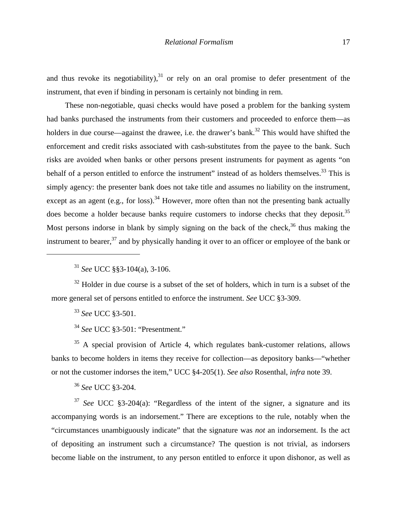and thus revoke its negotiability),  $31$  or rely on an oral promise to defer presentment of the instrument, that even if binding in personam is certainly not binding in rem.

These non-negotiable, quasi checks would have posed a problem for the banking system had banks purchased the instruments from their customers and proceeded to enforce them—as holders in due course—against the drawee, i.e. the drawer's bank.<sup>32</sup> This would have shifted the enforcement and credit risks associated with cash-substitutes from the payee to the bank. Such risks are avoided when banks or other persons present instruments for payment as agents "on behalf of a person entitled to enforce the instrument" instead of as holders themselves.<sup>33</sup> This is simply agency: the presenter bank does not take title and assumes no liability on the instrument, except as an agent (e.g., for loss).<sup>34</sup> However, more often than not the presenting bank actually does become a holder because banks require customers to indorse checks that they deposit.<sup>35</sup> Most persons indorse in blank by simply signing on the back of the check,  $36$  thus making the instrument to bearer,  $37$  and by physically handing it over to an officer or employee of the bank or

 $32$  Holder in due course is a subset of the set of holders, which in turn is a subset of the more general set of persons entitled to enforce the instrument. *See* UCC §3-309.

<sup>33</sup> *See* UCC §3-501.

1

<sup>34</sup> *See* UCC §3-501: "Presentment."

35 A special provision of Article 4, which regulates bank-customer relations, allows banks to become holders in items they receive for collection—as depository banks—"whether or not the customer indorses the item," UCC §4-205(1). *See also* Rosenthal, *infra* note 39.

<sup>36</sup> *See* UCC §3-204.

<sup>37</sup> *See* UCC §3-204(a): "Regardless of the intent of the signer, a signature and its accompanying words is an indorsement." There are exceptions to the rule, notably when the "circumstances unambiguously indicate" that the signature was *not* an indorsement. Is the act of depositing an instrument such a circumstance? The question is not trivial, as indorsers become liable on the instrument, to any person entitled to enforce it upon dishonor, as well as

<sup>31</sup> *See* UCC §§3-104(a), 3-106.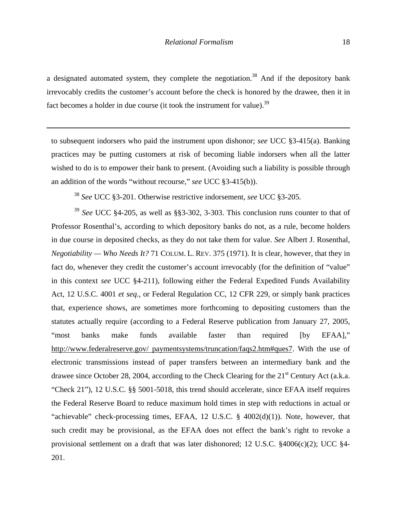a designated automated system, they complete the negotiation.<sup>38</sup> And if the depository bank irrevocably credits the customer's account before the check is honored by the drawee, then it in fact becomes a holder in due course (it took the instrument for value).<sup>39</sup>

to subsequent indorsers who paid the instrument upon dishonor; *see* UCC §3-415(a). Banking practices may be putting customers at risk of becoming liable indorsers when all the latter wished to do is to empower their bank to present. (Avoiding such a liability is possible through an addition of the words "without recourse," *see* UCC §3-415(b)).

<sup>38</sup> *See* UCC §3-201. Otherwise restrictive indorsement, *see* UCC §3-205.

1

<sup>39</sup> *See* UCC §4-205, as well as §§3-302, 3-303. This conclusion runs counter to that of Professor Rosenthal's, according to which depository banks do not, as a rule, become holders in due course in deposited checks, as they do not take them for value. *See* Albert J. Rosenthal, *Negotiability — Who Needs It?* 71 COLUM. L. REV. 375 (1971). It is clear, however, that they in fact do, whenever they credit the customer's account irrevocably (for the definition of "value" in this context *see* UCC §4-211), following either the Federal Expedited Funds Availability Act, 12 U.S.C. 4001 *et seq*., or Federal Regulation CC, 12 CFR 229, or simply bank practices that, experience shows, are sometimes more forthcoming to depositing customers than the statutes actually require (according to a Federal Reserve publication from January 27, 2005, "most banks make funds available faster than required [by EFAA]," http://www.federalreserve.gov/ paymentsystems/truncation/faqs2.htm#ques7. With the use of electronic transmissions instead of paper transfers between an intermediary bank and the drawee since October 28, 2004, according to the Check Clearing for the  $21<sup>st</sup>$  Century Act (a.k.a. "Check 21"), 12 U.S.C. §§ 5001-5018, this trend should accelerate, since EFAA itself requires the Federal Reserve Board to reduce maximum hold times in step with reductions in actual or "achievable" check-processing times, EFAA, 12 U.S.C. § 4002(d)(1)). Note, however, that such credit may be provisional, as the EFAA does not effect the bank's right to revoke a provisional settlement on a draft that was later dishonored; 12 U.S.C. §4006(c)(2); UCC §4- 201.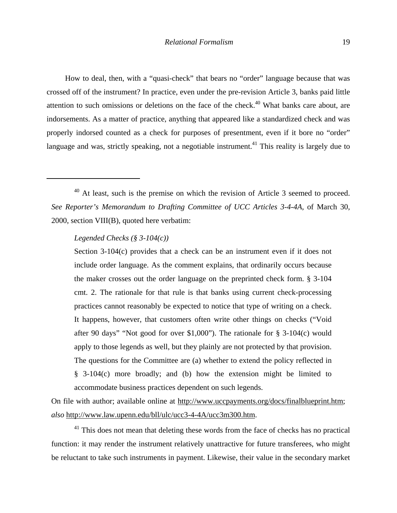How to deal, then, with a "quasi-check" that bears no "order" language because that was crossed off of the instrument? In practice, even under the pre-revision Article 3, banks paid little attention to such omissions or deletions on the face of the check.<sup>40</sup> What banks care about, are indorsements. As a matter of practice, anything that appeared like a standardized check and was properly indorsed counted as a check for purposes of presentment, even if it bore no "order" language and was, strictly speaking, not a negotiable instrument.<sup>41</sup> This reality is largely due to

<sup>40</sup> At least, such is the premise on which the revision of Article 3 seemed to proceed. *See Reporter's Memorandum to Drafting Committee of UCC Articles 3-4-4A*, of March 30, 2000, section VIII(B), quoted here verbatim:

#### *Legended Checks (§ 3-104(c))*

 $\overline{a}$ 

Section 3-104(c) provides that a check can be an instrument even if it does not include order language. As the comment explains, that ordinarily occurs because the maker crosses out the order language on the preprinted check form. § 3-104 cmt. 2. The rationale for that rule is that banks using current check-processing practices cannot reasonably be expected to notice that type of writing on a check. It happens, however, that customers often write other things on checks ("Void after 90 days" "Not good for over \$1,000"). The rationale for § 3-104(c) would apply to those legends as well, but they plainly are not protected by that provision. The questions for the Committee are (a) whether to extend the policy reflected in § 3-104(c) more broadly; and (b) how the extension might be limited to accommodate business practices dependent on such legends.

On file with author; available online at http://www.uccpayments.org/docs/finalblueprint.htm; *also* http://www.law.upenn.edu/bll/ulc/ucc3-4-4A/ucc3m300.htm.

<sup>41</sup> This does not mean that deleting these words from the face of checks has no practical function: it may render the instrument relatively unattractive for future transferees, who might be reluctant to take such instruments in payment. Likewise, their value in the secondary market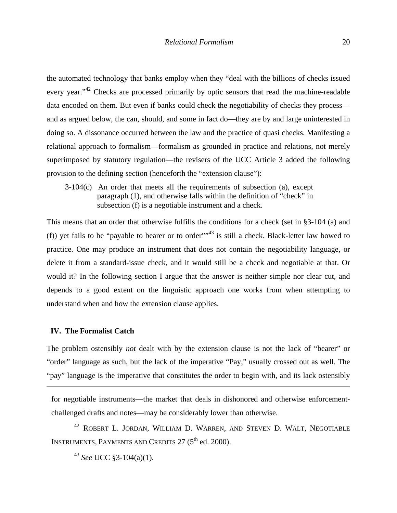the automated technology that banks employ when they "deal with the billions of checks issued every year."<sup>42</sup> Checks are processed primarily by optic sensors that read the machine-readable data encoded on them. But even if banks could check the negotiability of checks they process and as argued below, the can, should, and some in fact do—they are by and large uninterested in doing so. A dissonance occurred between the law and the practice of quasi checks. Manifesting a relational approach to formalism—formalism as grounded in practice and relations, not merely superimposed by statutory regulation—the revisers of the UCC Article 3 added the following provision to the defining section (henceforth the "extension clause"):

3-104(c) An order that meets all the requirements of subsection (a), except paragraph (1), and otherwise falls within the definition of "check" in subsection (f) is a negotiable instrument and a check.

This means that an order that otherwise fulfills the conditions for a check (set in §3-104 (a) and (f)) yet fails to be "payable to bearer or to order"<sup>43</sup> is still a check. Black-letter law bowed to practice. One may produce an instrument that does not contain the negotiability language, or delete it from a standard-issue check, and it would still be a check and negotiable at that. Or would it? In the following section I argue that the answer is neither simple nor clear cut, and depends to a good extent on the linguistic approach one works from when attempting to understand when and how the extension clause applies.

#### **IV. The Formalist Catch**

 $\overline{a}$ 

The problem ostensibly *not* dealt with by the extension clause is not the lack of "bearer" or "order" language as such, but the lack of the imperative "Pay," usually crossed out as well. The "pay" language is the imperative that constitutes the order to begin with, and its lack ostensibly

for negotiable instruments—the market that deals in dishonored and otherwise enforcementchallenged drafts and notes—may be considerably lower than otherwise.

<sup>42</sup> ROBERT L. JORDAN, WILLIAM D. WARREN, AND STEVEN D. WALT, NEGOTIABLE INSTRUMENTS, PAYMENTS AND CREDITS 27 (5<sup>th</sup> ed. 2000).

<sup>43</sup> *See* UCC §3-104(a)(1).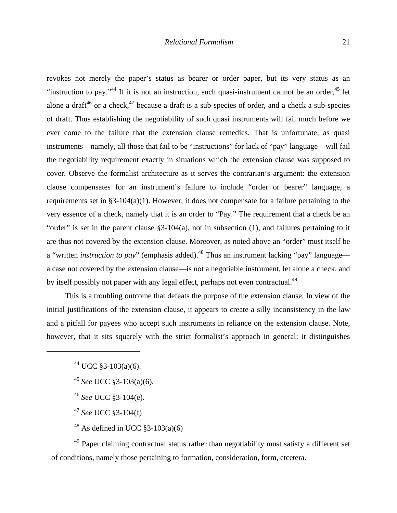revokes not merely the paper's status as bearer or order paper, but its very status as an "instruction to pay."<sup>44</sup> If it is not an instruction, such quasi-instrument cannot be an order,  $45$  let alone a draft<sup>46</sup> or a check,<sup>47</sup> because a draft is a sub-species of order, and a check a sub-species of draft. Thus establishing the negotiability of such quasi instruments will fail much before we ever come to the failure that the extension clause remedies. That is unfortunate, as quasi instruments—namely, all those that fail to be "instructions" for lack of "pay" language—will fail the negotiability requirement exactly in situations which the extension clause was supposed to cover. Observe the formalist architecture as it serves the contrarian's argument: the extension clause compensates for an instrument's failure to include "order or bearer" language, a requirements set in §3-104(a)(1). However, it does not compensate for a failure pertaining to the very essence of a check, namely that it is an order to "Pay." The requirement that a check be an "order" is set in the parent clause §3-104(a), not in subsection (1), and failures pertaining to it are thus not covered by the extension clause. Moreover, as noted above an "order" must itself be a "written *instruction to pay*" (emphasis added).<sup>48</sup> Thus an instrument lacking "pay" language a case not covered by the extension clause—is not a negotiable instrument, let alone a check, and by itself possibly not paper with any legal effect, perhaps not even contractual.<sup>49</sup>

This is a troubling outcome that defeats the purpose of the extension clause. In view of the initial justifications of the extension clause, it appears to create a silly inconsistency in the law and a pitfall for payees who accept such instruments in reliance on the extension clause. Note, however, that it sits squarely with the strict formalist's approach in general: it distinguishes

 $^{44}$  UCC §3-103(a)(6).

 $\overline{a}$ 

<sup>45</sup> *See* UCC §3-103(a)(6).

- <sup>46</sup> *See* UCC §3-104(e).
- <sup>47</sup> *See* UCC §3-104(f)

<sup>48</sup> As defined in UCC  $\S$ 3-103(a)(6)

 $49$  Paper claiming contractual status rather than negotiability must satisfy a different set of conditions, namely those pertaining to formation, consideration, form, etcetera.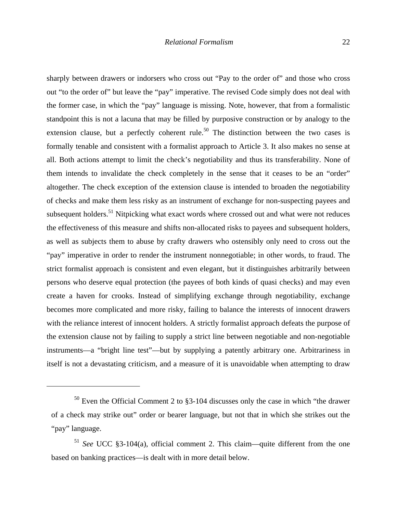sharply between drawers or indorsers who cross out "Pay to the order of" and those who cross out "to the order of" but leave the "pay" imperative. The revised Code simply does not deal with the former case, in which the "pay" language is missing. Note, however, that from a formalistic standpoint this is not a lacuna that may be filled by purposive construction or by analogy to the extension clause, but a perfectly coherent rule.<sup>50</sup> The distinction between the two cases is formally tenable and consistent with a formalist approach to Article 3. It also makes no sense at all. Both actions attempt to limit the check's negotiability and thus its transferability. None of them intends to invalidate the check completely in the sense that it ceases to be an "order" altogether. The check exception of the extension clause is intended to broaden the negotiability of checks and make them less risky as an instrument of exchange for non-suspecting payees and subsequent holders.<sup>51</sup> Nitpicking what exact words where crossed out and what were not reduces the effectiveness of this measure and shifts non-allocated risks to payees and subsequent holders, as well as subjects them to abuse by crafty drawers who ostensibly only need to cross out the "pay" imperative in order to render the instrument nonnegotiable; in other words, to fraud. The strict formalist approach is consistent and even elegant, but it distinguishes arbitrarily between persons who deserve equal protection (the payees of both kinds of quasi checks) and may even create a haven for crooks. Instead of simplifying exchange through negotiability, exchange becomes more complicated and more risky, failing to balance the interests of innocent drawers with the reliance interest of innocent holders. A strictly formalist approach defeats the purpose of the extension clause not by failing to supply a strict line between negotiable and non-negotiable instruments—a "bright line test"—but by supplying a patently arbitrary one. Arbitrariness in itself is not a devastating criticism, and a measure of it is unavoidable when attempting to draw

 $\overline{a}$ 

 $50$  Even the Official Comment 2 to §3-104 discusses only the case in which "the drawer" of a check may strike out" order or bearer language, but not that in which she strikes out the "pay" language.

<sup>51</sup> *See* UCC §3-104(a), official comment 2. This claim—quite different from the one based on banking practices—is dealt with in more detail below.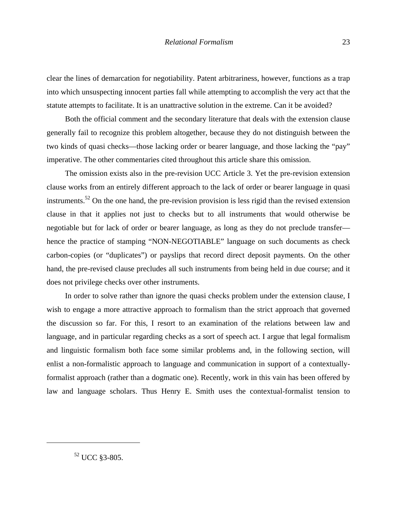clear the lines of demarcation for negotiability. Patent arbitrariness, however, functions as a trap into which unsuspecting innocent parties fall while attempting to accomplish the very act that the statute attempts to facilitate. It is an unattractive solution in the extreme. Can it be avoided?

Both the official comment and the secondary literature that deals with the extension clause generally fail to recognize this problem altogether, because they do not distinguish between the two kinds of quasi checks—those lacking order or bearer language, and those lacking the "pay" imperative. The other commentaries cited throughout this article share this omission.

The omission exists also in the pre-revision UCC Article 3. Yet the pre-revision extension clause works from an entirely different approach to the lack of order or bearer language in quasi instruments.<sup>52</sup> On the one hand, the pre-revision provision is less rigid than the revised extension clause in that it applies not just to checks but to all instruments that would otherwise be negotiable but for lack of order or bearer language, as long as they do not preclude transfer hence the practice of stamping "NON-NEGOTIABLE" language on such documents as check carbon-copies (or "duplicates") or payslips that record direct deposit payments. On the other hand, the pre-revised clause precludes all such instruments from being held in due course; and it does not privilege checks over other instruments.

In order to solve rather than ignore the quasi checks problem under the extension clause, I wish to engage a more attractive approach to formalism than the strict approach that governed the discussion so far. For this, I resort to an examination of the relations between law and language, and in particular regarding checks as a sort of speech act. I argue that legal formalism and linguistic formalism both face some similar problems and, in the following section, will enlist a non-formalistic approach to language and communication in support of a contextuallyformalist approach (rather than a dogmatic one). Recently, work in this vain has been offered by law and language scholars. Thus Henry E. Smith uses the contextual-formalist tension to

52 UCC §3-805.

 $\overline{a}$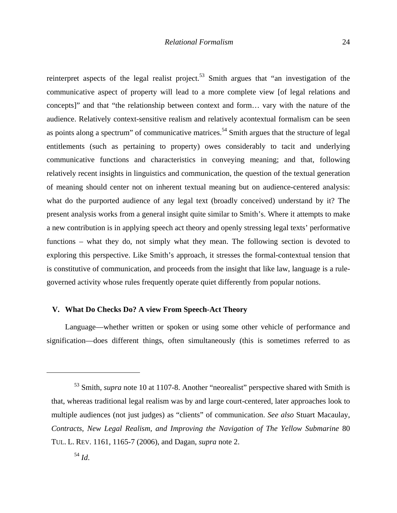reinterpret aspects of the legal realist project.<sup>53</sup> Smith argues that "an investigation of the communicative aspect of property will lead to a more complete view [of legal relations and concepts]" and that "the relationship between context and form… vary with the nature of the audience. Relatively context-sensitive realism and relatively acontextual formalism can be seen as points along a spectrum" of communicative matrices.<sup>54</sup> Smith argues that the structure of legal entitlements (such as pertaining to property) owes considerably to tacit and underlying communicative functions and characteristics in conveying meaning; and that, following relatively recent insights in linguistics and communication, the question of the textual generation of meaning should center not on inherent textual meaning but on audience-centered analysis: what do the purported audience of any legal text (broadly conceived) understand by it? The present analysis works from a general insight quite similar to Smith's. Where it attempts to make a new contribution is in applying speech act theory and openly stressing legal texts' performative functions – what they do, not simply what they mean. The following section is devoted to exploring this perspective. Like Smith's approach, it stresses the formal-contextual tension that is constitutive of communication, and proceeds from the insight that like law, language is a rulegoverned activity whose rules frequently operate quiet differently from popular notions.

### **V. What Do Checks Do? A view From Speech-Act Theory**

Language—whether written or spoken or using some other vehicle of performance and signification—does different things, often simultaneously (this is sometimes referred to as

1

<sup>53</sup> Smith, *supra* note 10 at 1107-8. Another "neorealist" perspective shared with Smith is that, whereas traditional legal realism was by and large court-centered, later approaches look to multiple audiences (not just judges) as "clients" of communication. *See also* Stuart Macaulay, *Contracts, New Legal Realism, and Improving the Navigation of The Yellow Submarine* 80 TUL. L. REV. 1161, 1165-7 (2006), and Dagan, *supra* note 2.

<sup>54</sup> *Id*.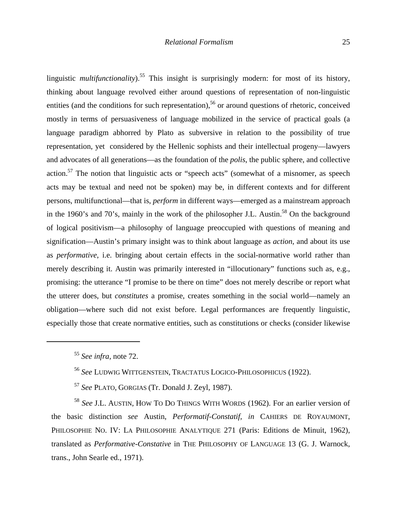linguistic *multifunctionality*).<sup>55</sup> This insight is surprisingly modern: for most of its history, thinking about language revolved either around questions of representation of non-linguistic entities (and the conditions for such representation),<sup>56</sup> or around questions of rhetoric, conceived mostly in terms of persuasiveness of language mobilized in the service of practical goals (a language paradigm abhorred by Plato as subversive in relation to the possibility of true representation, yet considered by the Hellenic sophists and their intellectual progeny—lawyers and advocates of all generations—as the foundation of the *polis*, the public sphere, and collective action.<sup>57</sup> The notion that linguistic acts or "speech acts" (somewhat of a misnomer, as speech acts may be textual and need not be spoken) may be, in different contexts and for different persons, multifunctional—that is, *perform* in different ways—emerged as a mainstream approach in the 1960's and 70's, mainly in the work of the philosopher J.L. Austin.<sup>58</sup> On the background of logical positivism—a philosophy of language preoccupied with questions of meaning and signification—Austin's primary insight was to think about language as *action*, and about its use as *performative*, i.e. bringing about certain effects in the social-normative world rather than merely describing it. Austin was primarily interested in "illocutionary" functions such as, e.g., promising: the utterance "I promise to be there on time" does not merely describe or report what the utterer does, but *constitutes* a promise, creates something in the social world—namely an obligation—where such did not exist before. Legal performances are frequently linguistic, especially those that create normative entities, such as constitutions or checks (consider likewise

 $\overline{a}$ 

<sup>58</sup> *See* J.L. AUSTIN, HOW TO DO THINGS WITH WORDS (1962). For an earlier version of the basic distinction *see* Austin, *Performatif-Constatif, in* CAHIERS DE ROYAUMONT, PHILOSOPHIE NO. IV: LA PHILOSOPHIE ANALYTIQUE 271 (Paris: Editions de Minuit, 1962), translated as *Performative-Constative* in THE PHILOSOPHY OF LANGUAGE 13 (G. J. Warnock, trans., John Searle ed., 1971).

<sup>55</sup> *See infra,* note 72.

<sup>56</sup> *See* LUDWIG WITTGENSTEIN, TRACTATUS LOGICO-PHILOSOPHICUS (1922).

<sup>57</sup> *See* PLATO, GORGIAS (Tr. Donald J. Zeyl, 1987).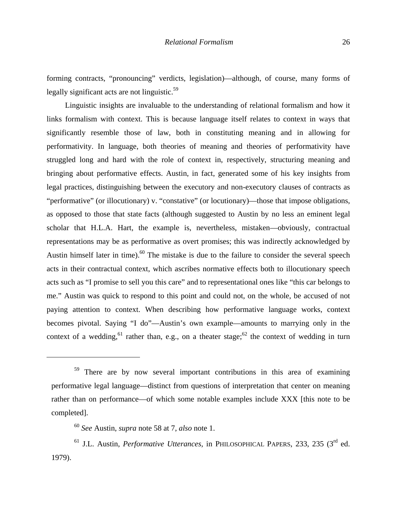forming contracts, "pronouncing" verdicts, legislation)—although, of course, many forms of legally significant acts are not linguistic.<sup>59</sup>

Linguistic insights are invaluable to the understanding of relational formalism and how it links formalism with context. This is because language itself relates to context in ways that significantly resemble those of law, both in constituting meaning and in allowing for performativity. In language, both theories of meaning and theories of performativity have struggled long and hard with the role of context in, respectively, structuring meaning and bringing about performative effects. Austin, in fact, generated some of his key insights from legal practices, distinguishing between the executory and non-executory clauses of contracts as "performative" (or illocutionary) v. "constative" (or locutionary)—those that impose obligations, as opposed to those that state facts (although suggested to Austin by no less an eminent legal scholar that H.L.A. Hart, the example is, nevertheless, mistaken—obviously, contractual representations may be as performative as overt promises; this was indirectly acknowledged by Austin himself later in time).<sup>60</sup> The mistake is due to the failure to consider the several speech acts in their contractual context, which ascribes normative effects both to illocutionary speech acts such as "I promise to sell you this care" and to representational ones like "this car belongs to me." Austin was quick to respond to this point and could not, on the whole, be accused of not paying attention to context. When describing how performative language works, context becomes pivotal. Saying "I do"—Austin's own example—amounts to marrying only in the context of a wedding, <sup>61</sup> rather than, e.g., on a theater stage;  $62$  the context of wedding in turn

 $\overline{a}$ 

<sup>&</sup>lt;sup>59</sup> There are by now several important contributions in this area of examining performative legal language—distinct from questions of interpretation that center on meaning rather than on performance—of which some notable examples include XXX [this note to be completed].

<sup>60</sup> *See* Austin, *supra* note 58 at 7, *also* note 1.

<sup>&</sup>lt;sup>61</sup> J.L. Austin, *Performative Utterances*, in PHILOSOPHICAL PAPERS, 233, 235 (3<sup>rd</sup> ed. 1979).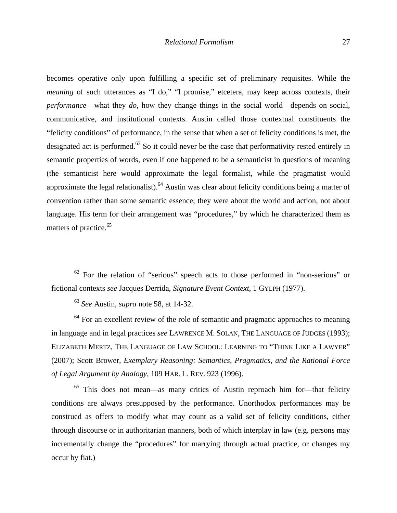#### *Relational Formalism* 27

becomes operative only upon fulfilling a specific set of preliminary requisites. While the *meaning* of such utterances as "I do," "I promise," etcetera, may keep across contexts, their *performance*—what they *do*, how they change things in the social world—depends on social, communicative, and institutional contexts. Austin called those contextual constituents the "felicity conditions" of performance, in the sense that when a set of felicity conditions is met, the designated act is performed.<sup>63</sup> So it could never be the case that performativity rested entirely in semantic properties of words, even if one happened to be a semanticist in questions of meaning (the semanticist here would approximate the legal formalist, while the pragmatist would approximate the legal relationalist).<sup>64</sup> Austin was clear about felicity conditions being a matter of convention rather than some semantic essence; they were about the world and action, not about language. His term for their arrangement was "procedures," by which he characterized them as matters of practice.<sup>65</sup>

 $62$  For the relation of "serious" speech acts to those performed in "non-serious" or fictional contexts *see* Jacques Derrida, *Signature Event Context*, 1 GYLPH (1977).

<sup>63</sup> *See* Austin, *supra* note 58, at 14-32.

1

 $64$  For an excellent review of the role of semantic and pragmatic approaches to meaning in language and in legal practices *see* LAWRENCE M. SOLAN, THE LANGUAGE OF JUDGES (1993); ELIZABETH MERTZ, THE LANGUAGE OF LAW SCHOOL: LEARNING TO "THINK LIKE A LAWYER" (2007); Scott Brower, *Exemplary Reasoning: Semantics, Pragmatics, and the Rational Force of Legal Argument by Analogy*, 109 HAR. L. REV. 923 (1996).

 $65$  This does not mean—as many critics of Austin reproach him for—that felicity conditions are always presupposed by the performance. Unorthodox performances may be construed as offers to modify what may count as a valid set of felicity conditions, either through discourse or in authoritarian manners, both of which interplay in law (e.g. persons may incrementally change the "procedures" for marrying through actual practice, or changes my occur by fiat.)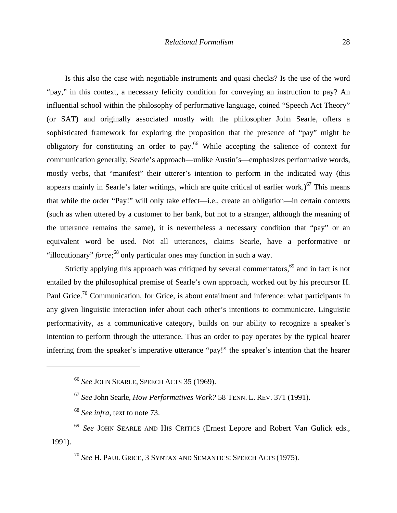Is this also the case with negotiable instruments and quasi checks? Is the use of the word "pay," in this context, a necessary felicity condition for conveying an instruction to pay? An influential school within the philosophy of performative language, coined "Speech Act Theory" (or SAT) and originally associated mostly with the philosopher John Searle, offers a sophisticated framework for exploring the proposition that the presence of "pay" might be obligatory for constituting an order to pay.<sup>66</sup> While accepting the salience of context for communication generally, Searle's approach—unlike Austin's—emphasizes performative words, mostly verbs, that "manifest" their utterer's intention to perform in the indicated way (this appears mainly in Searle's later writings, which are quite critical of earlier work.)<sup>67</sup> This means that while the order "Pay!" will only take effect—i.e., create an obligation—in certain contexts (such as when uttered by a customer to her bank, but not to a stranger, although the meaning of the utterance remains the same), it is nevertheless a necessary condition that "pay" or an equivalent word be used. Not all utterances, claims Searle, have a performative or "illocutionary" *force*; 68 only particular ones may function in such a way.

Strictly applying this approach was critiqued by several commentators,<sup>69</sup> and in fact is not entailed by the philosophical premise of Searle's own approach, worked out by his precursor H. Paul Grice.<sup>70</sup> Communication, for Grice, is about entailment and inference: what participants in any given linguistic interaction infer about each other's intentions to communicate. Linguistic performativity, as a communicative category, builds on our ability to recognize a speaker's intention to perform through the utterance. Thus an order to pay operates by the typical hearer inferring from the speaker's imperative utterance "pay!" the speaker's intention that the hearer

 $\overline{a}$ 

<sup>70</sup> *See* H. PAUL GRICE, 3 SYNTAX AND SEMANTICS: SPEECH ACTS (1975).

<sup>66</sup> *See* JOHN SEARLE, SPEECH ACTS 35 (1969).

<sup>67</sup> *See* John Searle, *How Performatives Work?* 58 TENN. L. REV. 371 (1991).

<sup>68</sup> *See infra*, text to note 73.

<sup>69</sup> *See* JOHN SEARLE AND HIS CRITICS (Ernest Lepore and Robert Van Gulick eds., 1991).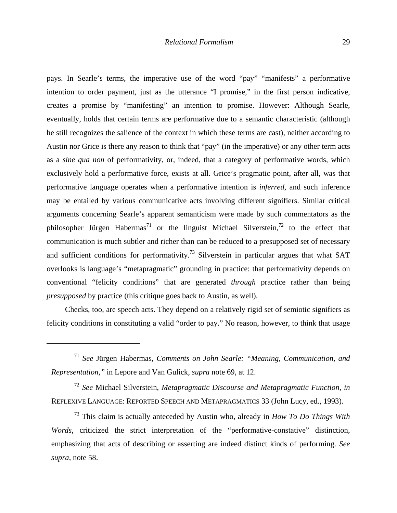pays. In Searle's terms, the imperative use of the word "pay" "manifests" a performative intention to order payment, just as the utterance "I promise," in the first person indicative, creates a promise by "manifesting" an intention to promise. However: Although Searle, eventually, holds that certain terms are performative due to a semantic characteristic (although he still recognizes the salience of the context in which these terms are cast), neither according to Austin nor Grice is there any reason to think that "pay" (in the imperative) or any other term acts as a *sine qua non* of performativity, or, indeed, that a category of performative words, which exclusively hold a performative force, exists at all. Grice's pragmatic point, after all, was that performative language operates when a performative intention is *inferred*, and such inference may be entailed by various communicative acts involving different signifiers. Similar critical arguments concerning Searle's apparent semanticism were made by such commentators as the philosopher Jürgen Habermas<sup>71</sup> or the linguist Michael Silverstein,<sup>72</sup> to the effect that communication is much subtler and richer than can be reduced to a presupposed set of necessary and sufficient conditions for performativity.<sup>73</sup> Silverstein in particular argues that what SAT overlooks is language's "metapragmatic" grounding in practice: that performativity depends on conventional "felicity conditions" that are generated *through* practice rather than being *presupposed* by practice (this critique goes back to Austin, as well).

Checks, too, are speech acts. They depend on a relatively rigid set of semiotic signifiers as felicity conditions in constituting a valid "order to pay." No reason, however, to think that usage

 $\overline{a}$ 

<sup>71</sup> *See* Jürgen Habermas, *Comments on John Searle: "Meaning, Communication, and Representation,"* in Lepore and Van Gulick, *supra* note 69, at 12.

<sup>72</sup> *See* Michael Silverstein, *Metapragmatic Discourse and Metapragmatic Function, in* REFLEXIVE LANGUAGE: REPORTED SPEECH AND METAPRAGMATICS 33 (John Lucy, ed., 1993).

<sup>73</sup> This claim is actually anteceded by Austin who, already in *How To Do Things With Words*, criticized the strict interpretation of the "performative-constative" distinction, emphasizing that acts of describing or asserting are indeed distinct kinds of performing. *See supra*, note 58.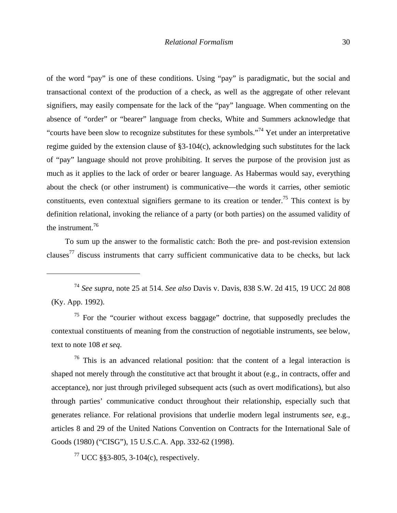of the word "pay" is one of these conditions. Using "pay" is paradigmatic, but the social and transactional context of the production of a check, as well as the aggregate of other relevant signifiers, may easily compensate for the lack of the "pay" language. When commenting on the absence of "order" or "bearer" language from checks, White and Summers acknowledge that "courts have been slow to recognize substitutes for these symbols."74 Yet under an interpretative regime guided by the extension clause of §3-104(c), acknowledging such substitutes for the lack of "pay" language should not prove prohibiting. It serves the purpose of the provision just as much as it applies to the lack of order or bearer language. As Habermas would say, everything about the check (or other instrument) is communicative—the words it carries, other semiotic constituents, even contextual signifiers germane to its creation or tender.<sup>75</sup> This context is by definition relational, invoking the reliance of a party (or both parties) on the assumed validity of the instrument.<sup>76</sup>

To sum up the answer to the formalistic catch: Both the pre- and post-revision extension clauses77 discuss instruments that carry sufficient communicative data to be checks, but lack

<sup>74</sup> *See supra*, note 25 at 514. *See also* Davis v. Davis, 838 S.W. 2d 415, 19 UCC 2d 808 (Ky. App. 1992).

 $75$  For the "courier without excess baggage" doctrine, that supposedly precludes the contextual constituents of meaning from the construction of negotiable instruments, see below, text to note 108 *et seq*.

 $76$  This is an advanced relational position: that the content of a legal interaction is shaped not merely through the constitutive act that brought it about (e.g., in contracts, offer and acceptance), nor just through privileged subsequent acts (such as overt modifications), but also through parties' communicative conduct throughout their relationship, especially such that generates reliance. For relational provisions that underlie modern legal instruments s*ee*, e.g., articles 8 and 29 of the United Nations Convention on Contracts for the International Sale of Goods (1980) ("CISG"), 15 U.S.C.A. App. 332-62 (1998).

 $^{77}$  UCC  $\frac{$83-805, 3-104(c)}{c}$ , respectively.

 $\overline{a}$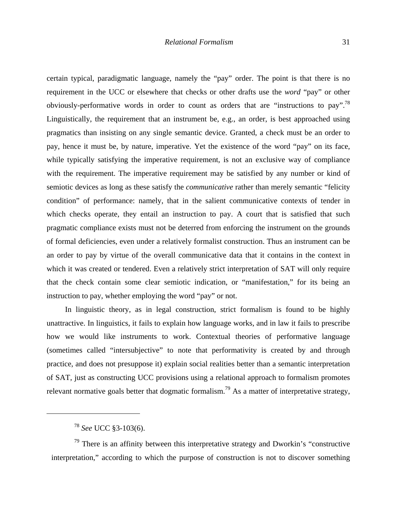certain typical, paradigmatic language, namely the "pay" order. The point is that there is no requirement in the UCC or elsewhere that checks or other drafts use the *word* "pay" or other obviously-performative words in order to count as orders that are "instructions to pay".<sup>78</sup> Linguistically, the requirement that an instrument be, e.g., an order, is best approached using pragmatics than insisting on any single semantic device. Granted, a check must be an order to pay, hence it must be, by nature, imperative. Yet the existence of the word "pay" on its face, while typically satisfying the imperative requirement, is not an exclusive way of compliance with the requirement. The imperative requirement may be satisfied by any number or kind of semiotic devices as long as these satisfy the *communicative* rather than merely semantic "felicity condition" of performance: namely, that in the salient communicative contexts of tender in which checks operate, they entail an instruction to pay. A court that is satisfied that such pragmatic compliance exists must not be deterred from enforcing the instrument on the grounds of formal deficiencies, even under a relatively formalist construction. Thus an instrument can be an order to pay by virtue of the overall communicative data that it contains in the context in which it was created or tendered. Even a relatively strict interpretation of SAT will only require that the check contain some clear semiotic indication, or "manifestation," for its being an instruction to pay, whether employing the word "pay" or not.

In linguistic theory, as in legal construction, strict formalism is found to be highly unattractive. In linguistics, it fails to explain how language works, and in law it fails to prescribe how we would like instruments to work. Contextual theories of performative language (sometimes called "intersubjective" to note that performativity is created by and through practice, and does not presuppose it) explain social realities better than a semantic interpretation of SAT, just as constructing UCC provisions using a relational approach to formalism promotes relevant normative goals better that dogmatic formalism.<sup>79</sup> As a matter of interpretative strategy,

1

 $79$  There is an affinity between this interpretative strategy and Dworkin's "constructive" interpretation," according to which the purpose of construction is not to discover something

<sup>78</sup> *See* UCC §3-103(6).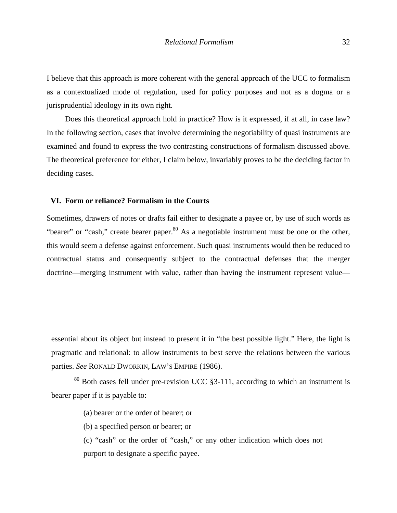I believe that this approach is more coherent with the general approach of the UCC to formalism as a contextualized mode of regulation, used for policy purposes and not as a dogma or a jurisprudential ideology in its own right.

Does this theoretical approach hold in practice? How is it expressed, if at all, in case law? In the following section, cases that involve determining the negotiability of quasi instruments are examined and found to express the two contrasting constructions of formalism discussed above. The theoretical preference for either, I claim below, invariably proves to be the deciding factor in deciding cases.

#### **VI. Form or reliance? Formalism in the Courts**

 $\overline{a}$ 

Sometimes, drawers of notes or drafts fail either to designate a payee or, by use of such words as "bearer" or "cash," create bearer paper.<sup>80</sup> As a negotiable instrument must be one or the other, this would seem a defense against enforcement. Such quasi instruments would then be reduced to contractual status and consequently subject to the contractual defenses that the merger doctrine—merging instrument with value, rather than having the instrument represent value—

essential about its object but instead to present it in "the best possible light." Here, the light is pragmatic and relational: to allow instruments to best serve the relations between the various parties. *See* RONALD DWORKIN, LAW'S EMPIRE (1986).

 $80$  Both cases fell under pre-revision UCC  $\S 3$ -111, according to which an instrument is bearer paper if it is payable to:

(a) bearer or the order of bearer; or

(b) a specified person or bearer; or

(c) "cash" or the order of "cash," or any other indication which does not purport to designate a specific payee.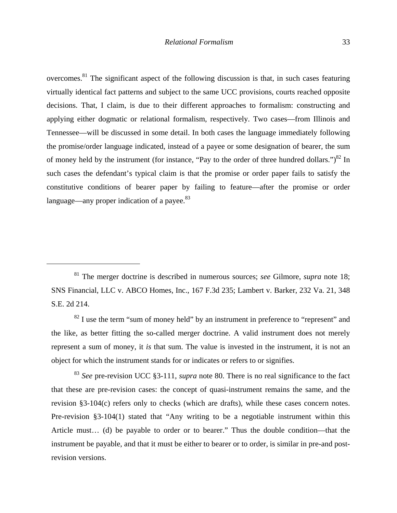overcomes.81 The significant aspect of the following discussion is that, in such cases featuring virtually identical fact patterns and subject to the same UCC provisions, courts reached opposite decisions. That, I claim, is due to their different approaches to formalism: constructing and applying either dogmatic or relational formalism, respectively. Two cases—from Illinois and Tennessee—will be discussed in some detail. In both cases the language immediately following the promise/order language indicated, instead of a payee or some designation of bearer, the sum of money held by the instrument (for instance, "Pay to the order of three hundred dollars.")<sup>82</sup> In such cases the defendant's typical claim is that the promise or order paper fails to satisfy the constitutive conditions of bearer paper by failing to feature—after the promise or order language—any proper indication of a payee. $83$ 

 $\overline{a}$ 

<sup>81</sup> The merger doctrine is described in numerous sources; *see* Gilmore, *supra* note 18; SNS Financial, LLC v. ABCO Homes, Inc., 167 F.3d 235; Lambert v. Barker, 232 Va. 21, 348 S.E. 2d 214.

 $82$  I use the term "sum of money held" by an instrument in preference to "represent" and the like, as better fitting the so-called merger doctrine. A valid instrument does not merely represent a sum of money, it *is* that sum. The value is invested in the instrument, it is not an object for which the instrument stands for or indicates or refers to or signifies.

<sup>83</sup> *See* pre-revision UCC §3-111, *supra* note 80. There is no real significance to the fact that these are pre-revision cases: the concept of quasi-instrument remains the same, and the revision §3-104(c) refers only to checks (which are drafts), while these cases concern notes. Pre-revision §3-104(1) stated that "Any writing to be a negotiable instrument within this Article must… (d) be payable to order or to bearer." Thus the double condition—that the instrument be payable, and that it must be either to bearer or to order, is similar in pre-and postrevision versions.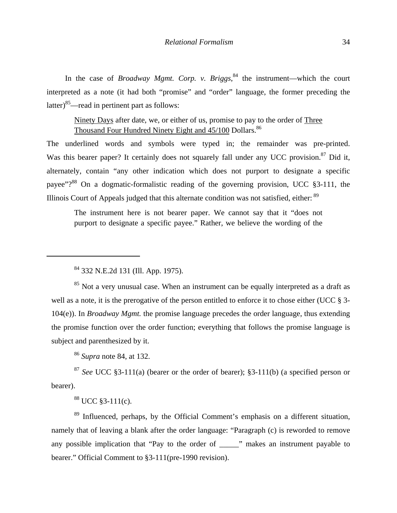In the case of *Broadway Mgmt. Corp. v. Briggs*,  $84$  the instrument—which the court interpreted as a note (it had both "promise" and "order" language, the former preceding the latter) $85$ —read in pertinent part as follows:

Ninety Days after date, we, or either of us, promise to pay to the order of Three Thousand Four Hundred Ninety Eight and 45/100 Dollars.<sup>86</sup>

The underlined words and symbols were typed in; the remainder was pre-printed. Was this bearer paper? It certainly does not squarely fall under any UCC provision.<sup>87</sup> Did it, alternately, contain "any other indication which does not purport to designate a specific payee"?<sup>88</sup> On a dogmatic-formalistic reading of the governing provision, UCC  $§$ 3-111, the Illinois Court of Appeals judged that this alternate condition was not satisfied, either: <sup>89</sup>

The instrument here is not bearer paper. We cannot say that it "does not purport to designate a specific payee." Rather, we believe the wording of the

84 332 N.E.2d 131 (Ill. App. 1975).

1

<sup>85</sup> Not a very unusual case. When an instrument can be equally interpreted as a draft as well as a note, it is the prerogative of the person entitled to enforce it to chose either (UCC § 3-104(e)). In *Broadway Mgmt.* the promise language precedes the order language, thus extending the promise function over the order function; everything that follows the promise language is subject and parenthesized by it.

<sup>86</sup> *Supra* note 84, at 132.

<sup>87</sup> *See* UCC §3-111(a) (bearer or the order of bearer); §3-111(b) (a specified person or bearer).

 $88$  UCC  $$3-111(c)$ .

<sup>89</sup> Influenced, perhaps, by the Official Comment's emphasis on a different situation, namely that of leaving a blank after the order language: "Paragraph (c) is reworded to remove any possible implication that "Pay to the order of  $\cdots$  makes an instrument payable to bearer." Official Comment to §3-111(pre-1990 revision).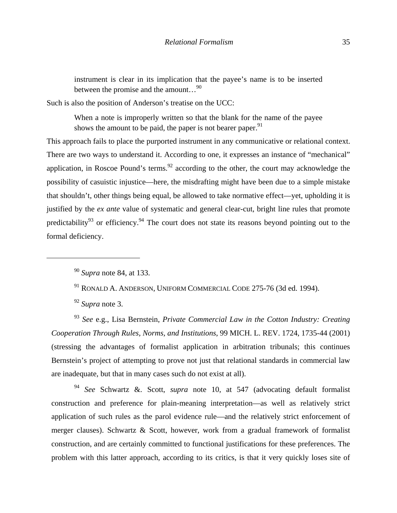instrument is clear in its implication that the payee's name is to be inserted between the promise and the amount...<sup>90</sup>

Such is also the position of Anderson's treatise on the UCC:

When a note is improperly written so that the blank for the name of the payee shows the amount to be paid, the paper is not bearer paper. $91$ 

This approach fails to place the purported instrument in any communicative or relational context. There are two ways to understand it. According to one, it expresses an instance of "mechanical" application, in Roscoe Pound's terms.<sup>92</sup> according to the other, the court may acknowledge the possibility of casuistic injustice—here, the misdrafting might have been due to a simple mistake that shouldn't, other things being equal, be allowed to take normative effect—yet, upholding it is justified by the *ex ante* value of systematic and general clear-cut, bright line rules that promote predictability<sup>93</sup> or efficiency.<sup>94</sup> The court does not state its reasons beyond pointing out to the formal deficiency.

<sup>90</sup> *Supra* note 84, at 133.

<sup>91</sup> RONALD A. ANDERSON, UNIFORM COMMERCIAL CODE 275-76 (3d ed. 1994).

<sup>92</sup> *Supra* note 3.

 $\overline{a}$ 

<sup>93</sup> *See* e.g., Lisa Bernstein, *Private Commercial Law in the Cotton Industry: Creating Cooperation Through Rules, Norms, and Institutions*, 99 MICH. L. REV. 1724, 1735-44 (2001) (stressing the advantages of formalist application in arbitration tribunals; this continues Bernstein's project of attempting to prove not just that relational standards in commercial law are inadequate, but that in many cases such do not exist at all).

<sup>94</sup> *See* Schwartz &. Scott, *supra* note 10, at 547 (advocating default formalist construction and preference for plain-meaning interpretation—as well as relatively strict application of such rules as the parol evidence rule—and the relatively strict enforcement of merger clauses). Schwartz & Scott, however, work from a gradual framework of formalist construction, and are certainly committed to functional justifications for these preferences. The problem with this latter approach, according to its critics, is that it very quickly loses site of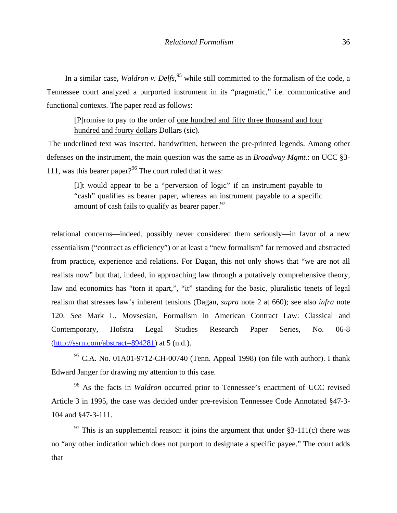In a similar case, *Waldron v. Delfs*, 95 while still committed to the formalism of the code, a Tennessee court analyzed a purported instrument in its "pragmatic," i.e. communicative and functional contexts. The paper read as follows:

[P]romise to pay to the order of one hundred and fifty three thousand and four hundred and fourty dollars Dollars (sic).

 The underlined text was inserted, handwritten, between the pre-printed legends. Among other defenses on the instrument, the main question was the same as in *Broadway Mgmt.*: on UCC §3- 111, was this bearer paper?<sup>96</sup> The court ruled that it was:

[I]t would appear to be a "perversion of logic" if an instrument payable to "cash" qualifies as bearer paper, whereas an instrument payable to a specific amount of cash fails to qualify as bearer paper. $97$ 

 $\overline{a}$ 

relational concerns—indeed, possibly never considered them seriously—in favor of a new essentialism ("contract as efficiency") or at least a "new formalism" far removed and abstracted from practice, experience and relations. For Dagan, this not only shows that "we are not all realists now" but that, indeed, in approaching law through a putatively comprehensive theory, law and economics has "torn it apart,", "it" standing for the basic, pluralistic tenets of legal realism that stresses law's inherent tensions (Dagan, *supra* note 2 at 660); see also *infra* note 120. *See* Mark L. Movsesian, Formalism in American Contract Law: Classical and Contemporary, Hofstra Legal Studies Research Paper Series, No. 06-8 (http://ssrn.com/abstract=894281) at 5 (n.d.).

 $95$  C.A. No. 01A01-9712-CH-00740 (Tenn. Appeal 1998) (on file with author). I thank Edward Janger for drawing my attention to this case.

96 As the facts in *Waldron* occurred prior to Tennessee's enactment of UCC revised Article 3 in 1995, the case was decided under pre-revision Tennessee Code Annotated §47-3- 104 and §47-3-111.

 $97$  This is an supplemental reason: it joins the argument that under §3-111(c) there was no "any other indication which does not purport to designate a specific payee." The court adds that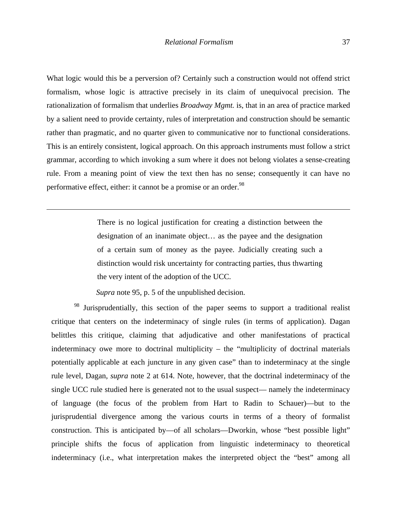What logic would this be a perversion of? Certainly such a construction would not offend strict formalism, whose logic is attractive precisely in its claim of unequivocal precision. The rationalization of formalism that underlies *Broadway Mgmt.* is, that in an area of practice marked by a salient need to provide certainty, rules of interpretation and construction should be semantic rather than pragmatic, and no quarter given to communicative nor to functional considerations. This is an entirely consistent, logical approach. On this approach instruments must follow a strict grammar, according to which invoking a sum where it does not belong violates a sense-creating rule. From a meaning point of view the text then has no sense; consequently it can have no performative effect, either: it cannot be a promise or an order. $^{98}$ 

> There is no logical justification for creating a distinction between the designation of an inanimate object… as the payee and the designation of a certain sum of money as the payee. Judicially creating such a distinction would risk uncertainty for contracting parties, thus thwarting the very intent of the adoption of the UCC.

*Supra* note 95, p. 5 of the unpublished decision.

 $\overline{a}$ 

<sup>98</sup> Jurisprudentially, this section of the paper seems to support a traditional realist critique that centers on the indeterminacy of single rules (in terms of application). Dagan belittles this critique, claiming that adjudicative and other manifestations of practical indeterminacy owe more to doctrinal multiplicity – the "multiplicity of doctrinal materials potentially applicable at each juncture in any given case" than to indeterminacy at the single rule level, Dagan, *supra* note 2 at 614. Note, however, that the doctrinal indeterminacy of the single UCC rule studied here is generated not to the usual suspect— namely the indeterminacy of language (the focus of the problem from Hart to Radin to Schauer)—but to the jurisprudential divergence among the various courts in terms of a theory of formalist construction. This is anticipated by—of all scholars—Dworkin, whose "best possible light" principle shifts the focus of application from linguistic indeterminacy to theoretical indeterminacy (i.e., what interpretation makes the interpreted object the "best" among all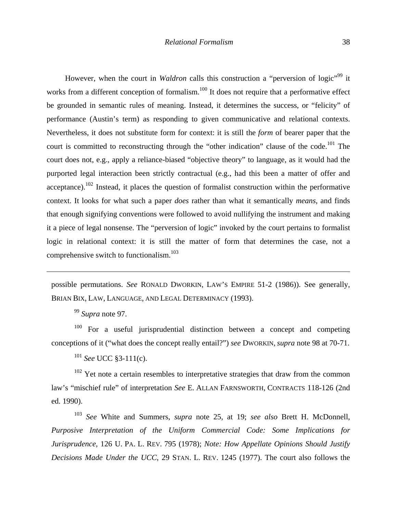However, when the court in *Waldron* calls this construction a "perversion of logic"<sup>99</sup> it works from a different conception of formalism.<sup>100</sup> It does not require that a performative effect be grounded in semantic rules of meaning. Instead, it determines the success, or "felicity" of performance (Austin's term) as responding to given communicative and relational contexts. Nevertheless, it does not substitute form for context: it is still the *form* of bearer paper that the court is committed to reconstructing through the "other indication" clause of the code.<sup>101</sup> The court does not, e.g., apply a reliance-biased "objective theory" to language, as it would had the purported legal interaction been strictly contractual (e.g., had this been a matter of offer and acceptance).<sup>102</sup> Instead, it places the question of formalist construction within the performative context. It looks for what such a paper *does* rather than what it semantically *means*, and finds that enough signifying conventions were followed to avoid nullifying the instrument and making it a piece of legal nonsense. The "perversion of logic" invoked by the court pertains to formalist logic in relational context: it is still the matter of form that determines the case, not a comprehensive switch to functionalism.<sup>103</sup>

possible permutations. *See* RONALD DWORKIN, LAW'S EMPIRE 51-2 (1986)). See generally, BRIAN BIX, LAW, LANGUAGE, AND LEGAL DETERMINACY (1993).

<sup>99</sup> *Supra* note 97.

 $\overline{a}$ 

 $100$  For a useful jurisprudential distinction between a concept and competing conceptions of it ("what does the concept really entail?") *see* DWORKIN, *supra* note 98 at 70-71.

<sup>101</sup> *See* UCC §3-111(c).

 $102$  Yet note a certain resembles to interpretative strategies that draw from the common law's "mischief rule" of interpretation *See* E. ALLAN FARNSWORTH, CONTRACTS 118-126 (2nd ed. 1990).

<sup>103</sup> *See* White and Summers, *supra* note 25, at 19; *see also* Brett H. McDonnell, *Purposive Interpretation of the Uniform Commercial Code: Some Implications for Jurisprudence*, 126 U. PA. L. REV. 795 (1978); *Note: How Appellate Opinions Should Justify Decisions Made Under the UCC*, 29 STAN. L. REV. 1245 (1977). The court also follows the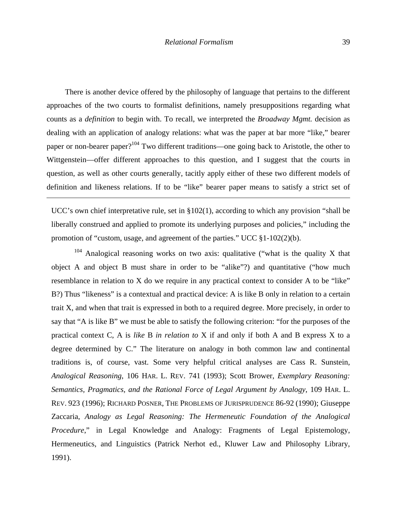There is another device offered by the philosophy of language that pertains to the different approaches of the two courts to formalist definitions, namely presuppositions regarding what counts as a *definition* to begin with. To recall, we interpreted the *Broadway Mgmt.* decision as dealing with an application of analogy relations: what was the paper at bar more "like," bearer paper or non-bearer paper?<sup>104</sup> Two different traditions—one going back to Aristotle, the other to Wittgenstein—offer different approaches to this question, and I suggest that the courts in question, as well as other courts generally, tacitly apply either of these two different models of definition and likeness relations. If to be "like" bearer paper means to satisfy a strict set of

UCC's own chief interpretative rule, set in §102(1), according to which any provision "shall be liberally construed and applied to promote its underlying purposes and policies," including the promotion of "custom, usage, and agreement of the parties." UCC §1-102(2)(b).

1

 $104$  Analogical reasoning works on two axis: qualitative ("what is the quality X that object A and object B must share in order to be "alike"?) and quantitative ("how much resemblance in relation to X do we require in any practical context to consider A to be "like" B?) Thus "likeness" is a contextual and practical device: A is like B only in relation to a certain trait X, and when that trait is expressed in both to a required degree. More precisely, in order to say that "A is like B" we must be able to satisfy the following criterion: "for the purposes of the practical context C, A is *like* B *in relation to* X if and only if both A and B express X to a degree determined by C." The literature on analogy in both common law and continental traditions is, of course, vast. Some very helpful critical analyses are Cass R. Sunstein, *Analogical Reasoning*, 106 HAR. L. REV. 741 (1993); Scott Brower, *Exemplary Reasoning: Semantics, Pragmatics, and the Rational Force of Legal Argument by Analogy*, 109 HAR. L. REV. 923 (1996); RICHARD POSNER, THE PROBLEMS OF JURISPRUDENCE 86-92 (1990); Giuseppe Zaccaria, *Analogy as Legal Reasoning: The Hermeneutic Foundation of the Analogical Procedure*," in Legal Knowledge and Analogy: Fragments of Legal Epistemology, Hermeneutics, and Linguistics (Patrick Nerhot ed., Kluwer Law and Philosophy Library, 1991).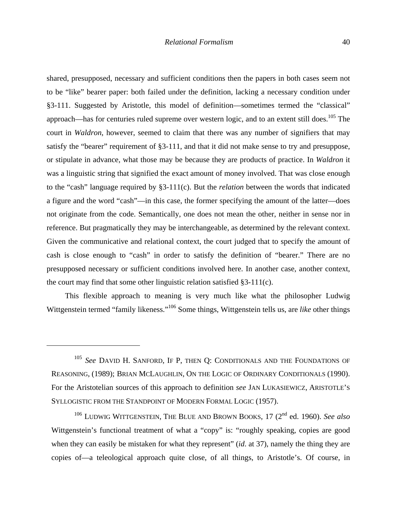shared, presupposed, necessary and sufficient conditions then the papers in both cases seem not to be "like" bearer paper: both failed under the definition, lacking a necessary condition under §3-111. Suggested by Aristotle, this model of definition—sometimes termed the "classical" approach—has for centuries ruled supreme over western logic, and to an extent still does.<sup>105</sup> The court in *Waldron*, however, seemed to claim that there was any number of signifiers that may satisfy the "bearer" requirement of §3-111, and that it did not make sense to try and presuppose, or stipulate in advance, what those may be because they are products of practice. In *Waldron* it was a linguistic string that signified the exact amount of money involved. That was close enough to the "cash" language required by §3-111(c). But the *relation* between the words that indicated a figure and the word "cash"—in this case, the former specifying the amount of the latter—does not originate from the code. Semantically, one does not mean the other, neither in sense nor in reference. But pragmatically they may be interchangeable, as determined by the relevant context. Given the communicative and relational context, the court judged that to specify the amount of cash is close enough to "cash" in order to satisfy the definition of "bearer." There are no presupposed necessary or sufficient conditions involved here. In another case, another context, the court may find that some other linguistic relation satisfied §3-111(c).

This flexible approach to meaning is very much like what the philosopher Ludwig Wittgenstein termed "family likeness."<sup>106</sup> Some things, Wittgenstein tells us, are *like* other things

1

<sup>&</sup>lt;sup>105</sup> See DAVID H. SANFORD, IF P, THEN Q: CONDITIONALS AND THE FOUNDATIONS OF REASONING, (1989); BRIAN MCLAUGHLIN, ON THE LOGIC OF ORDINARY CONDITIONALS (1990). For the Aristotelian sources of this approach to definition *see* JAN LUKASIEWICZ, ARISTOTLE'S SYLLOGISTIC FROM THE STANDPOINT OF MODERN FORMAL LOGIC (1957).

<sup>&</sup>lt;sup>106</sup> LUDWIG WITTGENSTEIN, THE BLUE AND BROWN BOOKS, 17 (2<sup>nd</sup> ed. 1960). *See also* Wittgenstein's functional treatment of what a "copy" is: "roughly speaking, copies are good when they can easily be mistaken for what they represent" (*id*. at 37), namely the thing they are copies of—a teleological approach quite close, of all things, to Aristotle's. Of course, in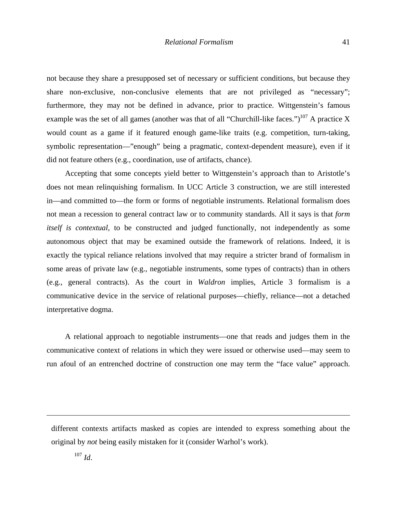not because they share a presupposed set of necessary or sufficient conditions, but because they share non-exclusive, non-conclusive elements that are not privileged as "necessary"; furthermore, they may not be defined in advance, prior to practice. Wittgenstein's famous example was the set of all games (another was that of all "Churchill-like faces.")<sup>107</sup> A practice X would count as a game if it featured enough game-like traits (e.g. competition, turn-taking, symbolic representation—"enough" being a pragmatic, context-dependent measure), even if it did not feature others (e.g., coordination, use of artifacts, chance).

Accepting that some concepts yield better to Wittgenstein's approach than to Aristotle's does not mean relinquishing formalism. In UCC Article 3 construction, we are still interested in—and committed to—the form or forms of negotiable instruments. Relational formalism does not mean a recession to general contract law or to community standards. All it says is that *form itself is contextual*, to be constructed and judged functionally, not independently as some autonomous object that may be examined outside the framework of relations. Indeed, it is exactly the typical reliance relations involved that may require a stricter brand of formalism in some areas of private law (e.g., negotiable instruments, some types of contracts) than in others (e.g., general contracts). As the court in *Waldron* implies, Article 3 formalism is a communicative device in the service of relational purposes—chiefly, reliance—not a detached interpretative dogma.

A relational approach to negotiable instruments—one that reads and judges them in the communicative context of relations in which they were issued or otherwise used—may seem to run afoul of an entrenched doctrine of construction one may term the "face value" approach.

 $\overline{a}$ 

different contexts artifacts masked as copies are intended to express something about the original by *not* being easily mistaken for it (consider Warhol's work).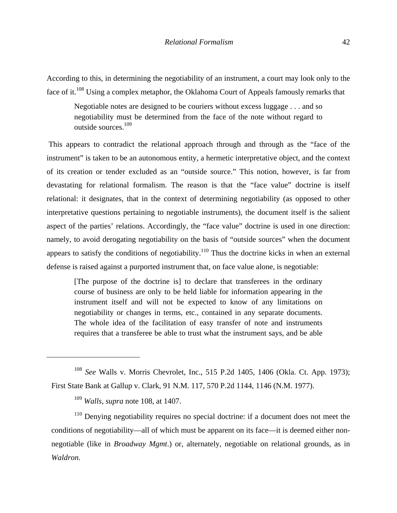According to this, in determining the negotiability of an instrument, a court may look only to the face of it.<sup>108</sup> Using a complex metaphor, the Oklahoma Court of Appeals famously remarks that

Negotiable notes are designed to be couriers without excess luggage . . . and so negotiability must be determined from the face of the note without regard to outside sources.<sup>109</sup>

 This appears to contradict the relational approach through and through as the "face of the instrument" is taken to be an autonomous entity, a hermetic interpretative object, and the context of its creation or tender excluded as an "outside source." This notion, however, is far from devastating for relational formalism. The reason is that the "face value" doctrine is itself relational: it designates, that in the context of determining negotiability (as opposed to other interpretative questions pertaining to negotiable instruments), the document itself is the salient aspect of the parties' relations. Accordingly, the "face value" doctrine is used in one direction: namely, to avoid derogating negotiability on the basis of "outside sources" when the document appears to satisfy the conditions of negotiability.<sup>110</sup> Thus the doctrine kicks in when an external defense is raised against a purported instrument that, on face value alone, is negotiable:

[The purpose of the doctrine is] to declare that transferees in the ordinary course of business are only to be held liable for information appearing in the instrument itself and will not be expected to know of any limitations on negotiability or changes in terms, etc., contained in any separate documents. The whole idea of the facilitation of easy transfer of note and instruments requires that a transferee be able to trust what the instrument says, and be able

1

 $110$  Denying negotiability requires no special doctrine: if a document does not meet the conditions of negotiability—all of which must be apparent on its face—it is deemed either nonnegotiable (like in *Broadway Mgmt*.) or, alternately, negotiable on relational grounds, as in *Waldron*.

<sup>108</sup> *See* Walls v. Morris Chevrolet, Inc., 515 P.2d 1405, 1406 (Okla. Ct. App. 1973); First State Bank at Gallup v. Clark, 91 N.M. 117, 570 P.2d 1144, 1146 (N.M. 1977).

<sup>109</sup> *Walls*, *supra* note 108, at 1407.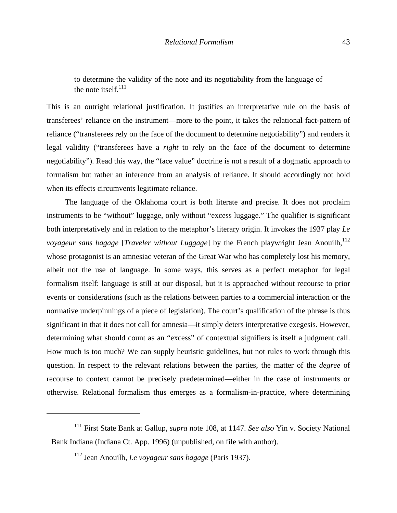to determine the validity of the note and its negotiability from the language of the note itself. $^{111}$ 

This is an outright relational justification. It justifies an interpretative rule on the basis of transferees' reliance on the instrument—more to the point, it takes the relational fact-pattern of reliance ("transferees rely on the face of the document to determine negotiability") and renders it legal validity ("transferees have a *right* to rely on the face of the document to determine negotiability"). Read this way, the "face value" doctrine is not a result of a dogmatic approach to formalism but rather an inference from an analysis of reliance. It should accordingly not hold when its effects circumvents legitimate reliance.

The language of the Oklahoma court is both literate and precise. It does not proclaim instruments to be "without" luggage, only without "excess luggage." The qualifier is significant both interpretatively and in relation to the metaphor's literary origin. It invokes the 1937 play *Le voyageur sans bagage* [*Traveler without Luggage*] by the French playwright Jean Anouilh,<sup>112</sup> whose protagonist is an amnesiac veteran of the Great War who has completely lost his memory, albeit not the use of language. In some ways, this serves as a perfect metaphor for legal formalism itself: language is still at our disposal, but it is approached without recourse to prior events or considerations (such as the relations between parties to a commercial interaction or the normative underpinnings of a piece of legislation). The court's qualification of the phrase is thus significant in that it does not call for amnesia—it simply deters interpretative exegesis. However, determining what should count as an "excess" of contextual signifiers is itself a judgment call. How much is too much? We can supply heuristic guidelines, but not rules to work through this question. In respect to the relevant relations between the parties, the matter of the *degree* of recourse to context cannot be precisely predetermined—either in the case of instruments or otherwise. Relational formalism thus emerges as a formalism-in-practice, where determining

1

<sup>111</sup> First State Bank at Gallup, *supra* note 108, at 1147. *See also* Yin v. Society National Bank Indiana (Indiana Ct. App. 1996) (unpublished, on file with author).

<sup>112</sup> Jean Anouilh, *Le voyageur sans bagage* (Paris 1937).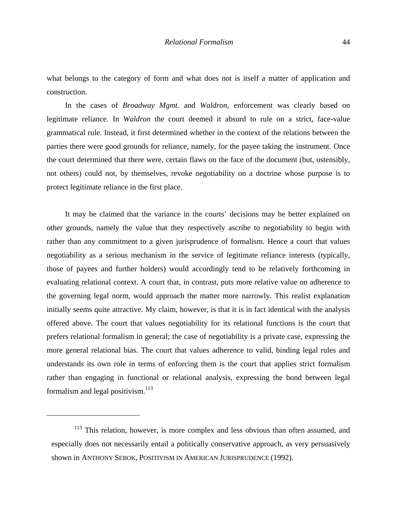what belongs to the category of form and what does not is itself a matter of application and construction.

In the cases of *Broadway Mgmt.* and *Waldron*, enforcement was clearly based on legitimate reliance. In *Waldron* the court deemed it absurd to rule on a strict, face-value grammatical rule. Instead, it first determined whether in the context of the relations between the parties there were good grounds for reliance, namely, for the payee taking the instrument. Once the court determined that there were, certain flaws on the face of the document (but, ostensibly, not others) could not, by themselves, revoke negotiability on a doctrine whose purpose is to protect legitimate reliance in the first place.

It may be claimed that the variance in the courts' decisions may be better explained on other grounds, namely the value that they respectively ascribe to negotiability to begin with rather than any commitment to a given jurisprudence of formalism. Hence a court that values negotiability as a serious mechanism in the service of legitimate reliance interests (typically, those of payees and further holders) would accordingly tend to be relatively forthcoming in evaluating relational context. A court that, in contrast, puts more relative value on adherence to the governing legal norm, would approach the matter more narrowly. This realist explanation initially seems quite attractive. My claim, however, is that it is in fact identical with the analysis offered above. The court that values negotiability for its relational functions is the court that prefers relational formalism in general; the case of negotiability is a private case, expressing the more general relational bias. The court that values adherence to valid, binding legal rules and understands its own role in terms of enforcing them is the court that applies strict formalism rather than engaging in functional or relational analysis, expressing the bond between legal formalism and legal positivism.<sup>113</sup>

1

<sup>&</sup>lt;sup>113</sup> This relation, however, is more complex and less obvious than often assumed, and especially does not necessarily entail a politically conservative approach, as very persuasively shown in ANTHONY SEBOK, POSITIVISM IN AMERICAN JURISPRUDENCE (1992).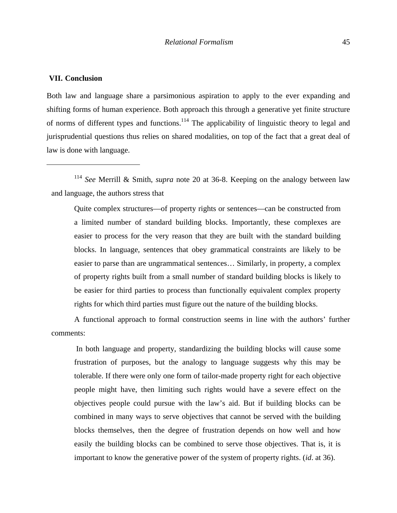#### **VII. Conclusion**

1

Both law and language share a parsimonious aspiration to apply to the ever expanding and shifting forms of human experience. Both approach this through a generative yet finite structure of norms of different types and functions.<sup>114</sup> The applicability of linguistic theory to legal and jurisprudential questions thus relies on shared modalities, on top of the fact that a great deal of law is done with language.

<sup>114</sup> *See* Merrill & Smith, *supra* note 20 at 36-8. Keeping on the analogy between law and language, the authors stress that

Quite complex structures—of property rights or sentences—can be constructed from a limited number of standard building blocks. Importantly, these complexes are easier to process for the very reason that they are built with the standard building blocks. In language, sentences that obey grammatical constraints are likely to be easier to parse than are ungrammatical sentences… Similarly, in property, a complex of property rights built from a small number of standard building blocks is likely to be easier for third parties to process than functionally equivalent complex property rights for which third parties must figure out the nature of the building blocks.

A functional approach to formal construction seems in line with the authors' further comments:

 In both language and property, standardizing the building blocks will cause some frustration of purposes, but the analogy to language suggests why this may be tolerable. If there were only one form of tailor-made property right for each objective people might have, then limiting such rights would have a severe effect on the objectives people could pursue with the law's aid. But if building blocks can be combined in many ways to serve objectives that cannot be served with the building blocks themselves, then the degree of frustration depends on how well and how easily the building blocks can be combined to serve those objectives. That is, it is important to know the generative power of the system of property rights. (*id*. at 36).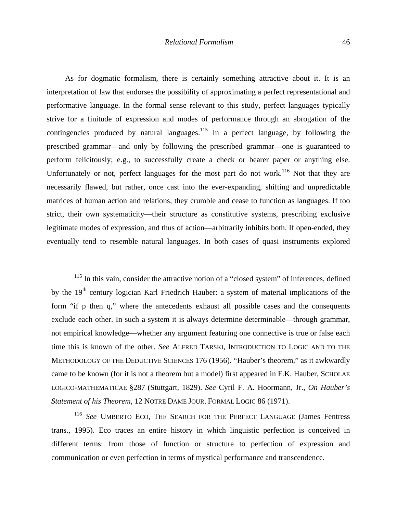As for dogmatic formalism, there is certainly something attractive about it. It is an interpretation of law that endorses the possibility of approximating a perfect representational and performative language. In the formal sense relevant to this study, perfect languages typically strive for a finitude of expression and modes of performance through an abrogation of the contingencies produced by natural languages.<sup>115</sup> In a perfect language, by following the prescribed grammar—and only by following the prescribed grammar—one is guaranteed to perform felicitously; e.g., to successfully create a check or bearer paper or anything else. Unfortunately or not, perfect languages for the most part do not work.<sup>116</sup> Not that they are necessarily flawed, but rather, once cast into the ever-expanding, shifting and unpredictable matrices of human action and relations, they crumble and cease to function as languages. If too strict, their own systematicity—their structure as constitutive systems, prescribing exclusive legitimate modes of expression, and thus of action—arbitrarily inhibits both. If open-ended, they eventually tend to resemble natural languages. In both cases of quasi instruments explored

<sup>115</sup> In this vain, consider the attractive notion of a "closed system" of inferences, defined by the  $19<sup>th</sup>$  century logician Karl Friedrich Hauber: a system of material implications of the form "if p then q," where the antecedents exhaust all possible cases and the consequents exclude each other. In such a system it is always determine determinable—through grammar, not empirical knowledge—whether any argument featuring one connective is true or false each time this is known of the other. *See* ALFRED TARSKI, INTRODUCTION TO LOGIC AND TO THE METHODOLOGY OF THE DEDUCTIVE SCIENCES 176 (1956). "Hauber's theorem," as it awkwardly came to be known (for it is not a theorem but a model) first appeared in F.K. Hauber, SCHOLAE LOGICO-MATHEMATICAE §287 (Stuttgart, 1829). *See* Cyril F. A. Hoormann, Jr., *On Hauber's Statement of his Theorem*, 12 NOTRE DAME JOUR. FORMAL LOGIC 86 (1971).

 $\overline{a}$ 

<sup>116</sup> *See* UMBERTO ECO, THE SEARCH FOR THE PERFECT LANGUAGE (James Fentress trans., 1995). Eco traces an entire history in which linguistic perfection is conceived in different terms: from those of function or structure to perfection of expression and communication or even perfection in terms of mystical performance and transcendence.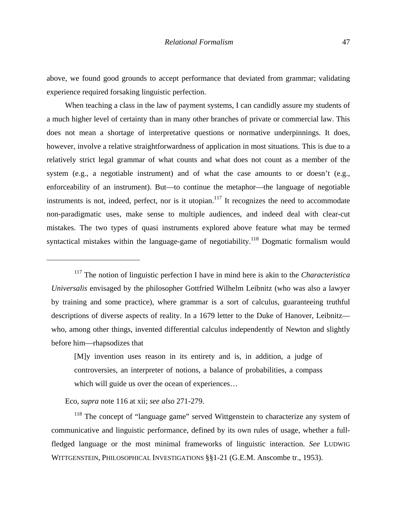above, we found good grounds to accept performance that deviated from grammar; validating experience required forsaking linguistic perfection.

When teaching a class in the law of payment systems, I can candidly assure my students of a much higher level of certainty than in many other branches of private or commercial law. This does not mean a shortage of interpretative questions or normative underpinnings. It does, however, involve a relative straightforwardness of application in most situations. This is due to a relatively strict legal grammar of what counts and what does not count as a member of the system (e.g., a negotiable instrument) and of what the case amounts to or doesn't (e.g., enforceability of an instrument). But—to continue the metaphor—the language of negotiable instruments is not, indeed, perfect, nor is it utopian.<sup>117</sup> It recognizes the need to accommodate non-paradigmatic uses, make sense to multiple audiences, and indeed deal with clear-cut mistakes. The two types of quasi instruments explored above feature what may be termed syntactical mistakes within the language-game of negotiability.<sup>118</sup> Dogmatic formalism would

117 The notion of linguistic perfection I have in mind here is akin to the *Characteristica Universalis* envisaged by the philosopher Gottfried Wilhelm Leibnitz (who was also a lawyer by training and some practice), where grammar is a sort of calculus, guaranteeing truthful descriptions of diverse aspects of reality. In a 1679 letter to the Duke of Hanover, Leibnitz who, among other things, invented differential calculus independently of Newton and slightly before him—rhapsodizes that

[M]y invention uses reason in its entirety and is, in addition, a judge of controversies, an interpreter of notions, a balance of probabilities, a compass which will guide us over the ocean of experiences...

Eco, *supra* note 116 at xii; *see also* 271-279.

 $\overline{a}$ 

<sup>118</sup> The concept of "language game" served Wittgenstein to characterize any system of communicative and linguistic performance, defined by its own rules of usage, whether a fullfledged language or the most minimal frameworks of linguistic interaction. *See* LUDWIG WITTGENSTEIN, PHILOSOPHICAL INVESTIGATIONS §§1-21 (G.E.M. Anscombe tr., 1953).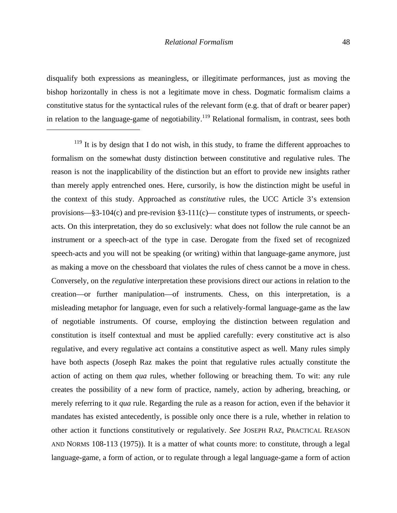disqualify both expressions as meaningless, or illegitimate performances, just as moving the bishop horizontally in chess is not a legitimate move in chess. Dogmatic formalism claims a constitutive status for the syntactical rules of the relevant form (e.g. that of draft or bearer paper) in relation to the language-game of negotiability.<sup>119</sup> Relational formalism, in contrast, sees both

 $\overline{a}$ 

 $119$  It is by design that I do not wish, in this study, to frame the different approaches to formalism on the somewhat dusty distinction between constitutive and regulative rules. The reason is not the inapplicability of the distinction but an effort to provide new insights rather than merely apply entrenched ones. Here, cursorily, is how the distinction might be useful in the context of this study. Approached as *constitutive* rules, the UCC Article 3's extension provisions—§3-104(c) and pre-revision §3-111(c)— constitute types of instruments, or speechacts. On this interpretation, they do so exclusively: what does not follow the rule cannot be an instrument or a speech-act of the type in case. Derogate from the fixed set of recognized speech-acts and you will not be speaking (or writing) within that language-game anymore, just as making a move on the chessboard that violates the rules of chess cannot be a move in chess. Conversely, on the *regulative* interpretation these provisions direct our actions in relation to the creation—or further manipulation—of instruments. Chess, on this interpretation, is a misleading metaphor for language, even for such a relatively-formal language-game as the law of negotiable instruments. Of course, employing the distinction between regulation and constitution is itself contextual and must be applied carefully: every constitutive act is also regulative, and every regulative act contains a constitutive aspect as well. Many rules simply have both aspects (Joseph Raz makes the point that regulative rules actually constitute the action of acting on them *qua* rules, whether following or breaching them. To wit: any rule creates the possibility of a new form of practice, namely, action by adhering, breaching, or merely referring to it *qua* rule. Regarding the rule as a reason for action, even if the behavior it mandates has existed antecedently, is possible only once there is a rule, whether in relation to other action it functions constitutively or regulatively. *See* JOSEPH RAZ, PRACTICAL REASON AND NORMS 108-113 (1975)). It is a matter of what counts more: to constitute, through a legal language-game, a form of action, or to regulate through a legal language-game a form of action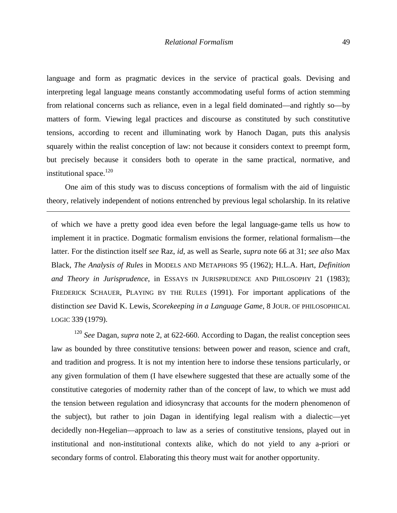language and form as pragmatic devices in the service of practical goals. Devising and interpreting legal language means constantly accommodating useful forms of action stemming from relational concerns such as reliance, even in a legal field dominated—and rightly so—by matters of form. Viewing legal practices and discourse as constituted by such constitutive tensions, according to recent and illuminating work by Hanoch Dagan, puts this analysis squarely within the realist conception of law: not because it considers context to preempt form, but precisely because it considers both to operate in the same practical, normative, and institutional space.<sup>120</sup>

One aim of this study was to discuss conceptions of formalism with the aid of linguistic theory, relatively independent of notions entrenched by previous legal scholarship. In its relative

 $\overline{a}$ 

of which we have a pretty good idea even before the legal language-game tells us how to implement it in practice. Dogmatic formalism envisions the former, relational formalism—the latter. For the distinction itself *see* Raz, *id*, as well as Searle, *supra* note 66 at 31; *see also* Max Black, *The Analysis of Rules* in MODELS AND METAPHORS 95 (1962); H.L.A. Hart, *Definition and Theory in Jurisprudence*, in ESSAYS IN JURISPRUDENCE AND PHILOSOPHY 21 (1983); FREDERICK SCHAUER, PLAYING BY THE RULES (1991). For important applications of the distinction *see* David K. Lewis, *Scorekeeping in a Language Game*, 8 JOUR. OF PHILOSOPHICAL LOGIC 339 (1979).

<sup>120</sup> *See* Dagan, *supra* note 2, at 622-660. According to Dagan, the realist conception sees law as bounded by three constitutive tensions: between power and reason, science and craft, and tradition and progress. It is not my intention here to indorse these tensions particularly, or any given formulation of them (I have elsewhere suggested that these are actually some of the constitutive categories of modernity rather than of the concept of law, to which we must add the tension between regulation and idiosyncrasy that accounts for the modern phenomenon of the subject), but rather to join Dagan in identifying legal realism with a dialectic—yet decidedly non-Hegelian—approach to law as a series of constitutive tensions, played out in institutional and non-institutional contexts alike, which do not yield to any a-priori or secondary forms of control. Elaborating this theory must wait for another opportunity.